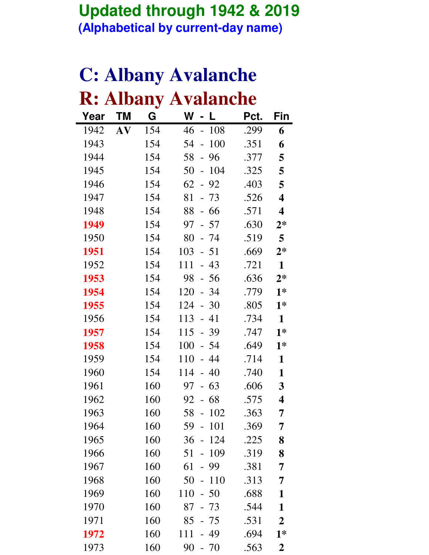#### **Updated through 1942 & 2019 (Alphabetical by current-day name)**

|      |    |     | <b>C: Albany Avalanche</b>            |      |                         |
|------|----|-----|---------------------------------------|------|-------------------------|
|      |    |     | <b>R: Albany Avalanche</b>            |      |                         |
| Year | ΤM | G   | W<br>L                                | Pct. | Fin                     |
| 1942 | AV | 154 | 46<br>108<br>$\overline{a}$           | .299 | 6                       |
| 1943 |    | 154 | 54<br>100<br>$\overline{a}$           | .351 | 6                       |
| 1944 |    | 154 | 58<br>96<br>$\overline{\phantom{0}}$  | .377 | 5                       |
| 1945 |    | 154 | 50<br>104<br>$\overline{\phantom{0}}$ | .325 | 5                       |
| 1946 |    | 154 | 62<br>92<br>$\equiv$                  | .403 | 5                       |
| 1947 |    | 154 | 81<br>$-73$                           | .526 | $\overline{\mathbf{4}}$ |
| 1948 |    | 154 | 88<br>66<br>$\overline{\phantom{0}}$  | .571 | $\overline{\mathbf{4}}$ |
| 1949 |    | 154 | 97<br>$-57$                           | .630 | $2*$                    |
| 1950 |    | 154 | 80<br>- 74                            | .519 | 5                       |
| 1951 |    | 154 | 103<br>$-51$                          | .669 | $2*$                    |
| 1952 |    | 154 | 43<br>111<br>$\equiv$                 | .721 | $\mathbf{1}$            |
| 1953 |    | 154 | 98<br>56<br>$\equiv$                  | .636 | $2*$                    |
| 1954 |    | 154 | 120<br>- 34                           | .779 | $1*$                    |
| 1955 |    | 154 | 124<br>$-30$                          | .805 | $1*$                    |
| 1956 |    | 154 | 113<br>41<br>$\overline{\phantom{0}}$ | .734 | $\mathbf{1}$            |
| 1957 |    | 154 | 115<br>$-39$                          | .747 | $1*$                    |
| 1958 |    | 154 | 100<br>54<br>$\equiv$                 | .649 | $1*$                    |
| 1959 |    | 154 | 110<br>44                             | .714 | 1                       |
| 1960 |    | 154 | 114<br>$-40$                          | .740 | 1                       |
| 1961 |    | 160 | 97<br>- 63                            | .606 | 3                       |
| 1962 |    | 160 | 92<br>68                              | .575 | 4                       |
| 1963 |    | 160 | 58<br>102<br>$\frac{1}{2}$            | .363 | 7                       |
| 1964 |    | 160 | 59<br>101<br>$\overline{\phantom{0}}$ | .369 | 7                       |
| 1965 |    | 160 | 36<br>124<br>$\overline{\phantom{0}}$ | .225 | 8                       |
| 1966 |    | 160 | 51<br>109<br>$\frac{1}{2}$            | .319 | 8                       |
| 1967 |    | 160 | 61<br>99<br>$\overline{\phantom{0}}$  | .381 | 7                       |
| 1968 |    | 160 | 50<br>110<br>$\frac{1}{2}$            | .313 | 7                       |
| 1969 |    | 160 | 110<br>$-50$                          | .688 | 1                       |
| 1970 |    | 160 | 87<br>$-73$                           | .544 | $\mathbf{1}$            |
| 1971 |    | 160 | 85<br>$-75$                           | .531 | $\boldsymbol{2}$        |

**1972** 160 111 - 49 .694 **1\*** 1973 160 90 - 70 .563 **2**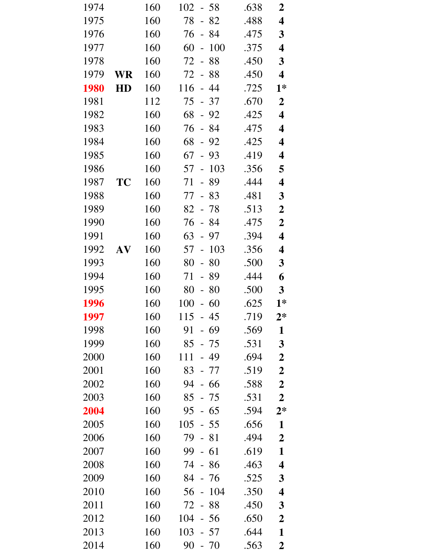| 1974        |    | 160 | 102<br>- 58                           | .638 | $\boldsymbol{2}$        |
|-------------|----|-----|---------------------------------------|------|-------------------------|
| 1975        |    | 160 | 78<br>$-82$                           | .488 | 4                       |
| 1976        |    | 160 | 76<br>- 84                            | .475 | $\mathbf{3}$            |
| 1977        |    | 160 | 60<br>100<br>$\frac{1}{2}$            | .375 | 4                       |
| 1978        |    | 160 | 72<br>88<br>$\omega$                  | .450 | $\mathbf{3}$            |
| 1979        | WR | 160 | 72<br>88<br>$\overline{\phantom{0}}$  | .450 | $\overline{\mathbf{4}}$ |
| <b>1980</b> | HD | 160 | 116<br>$-44$                          | .725 | $1*$                    |
| 1981        |    | 112 | 75<br>$-37$                           | .670 | $\boldsymbol{2}$        |
| 1982        |    | 160 | 68<br>$-92$                           | .425 | 4                       |
| 1983        |    | 160 | 76<br>$-84$                           | .475 | $\overline{\mathbf{4}}$ |
| 1984        |    | 160 | 68<br>$-92$                           | .425 | $\overline{\mathbf{4}}$ |
| 1985        |    | 160 | 67<br>$-93$                           | .419 | 4                       |
| 1986        |    | 160 | 103<br>57<br>$\blacksquare$           | .356 | 5                       |
| 1987        | TC | 160 | 89<br>71<br>$\overline{\phantom{0}}$  | .444 | 4                       |
| 1988        |    | 160 | 77<br>$-83$                           | .481 | $\mathbf{3}$            |
| 1989        |    | 160 | 82<br>- 78                            | .513 | $\boldsymbol{2}$        |
| 1990        |    | 160 | 76<br>$-84$                           | .475 | $\boldsymbol{2}$        |
| 1991        |    | 160 | 63<br>- 97                            | .394 | 4                       |
| 1992        | AV | 160 | 57<br>103<br>$\overline{\phantom{0}}$ | .356 | 4                       |
| 1993        |    | 160 | 80<br>80<br>$\overline{\phantom{0}}$  | .500 | $\mathbf{3}$            |
| 1994        |    | 160 | 89<br>71<br>$\overline{\phantom{0}}$  | .444 | 6                       |
| 1995        |    | 160 | 80<br>80<br>$\overline{\phantom{0}}$  | .500 | $\mathbf{3}$            |
| 1996        |    | 160 | 100<br>$-60$                          | .625 | $1*$                    |
| 1997        |    | 160 | 115<br>- 45                           | .719 | $2*$                    |
| 1998        |    | 160 | 91<br>- 69                            | .569 | $\mathbf{1}$            |
| 1999        |    | 160 | 85<br>- 75                            | .531 | 3                       |
| 2000        |    | 160 | 111<br>- 49                           | .694 | $\boldsymbol{2}$        |
| 2001        |    | 160 | 83<br>- 77                            | .519 | $\boldsymbol{2}$        |
| 2002        |    | 160 | 94<br>- 66                            | .588 | $\boldsymbol{2}$        |
| 2003        |    | 160 | 85<br>- 75                            | .531 | $\overline{2}$          |
| 2004        |    | 160 | 95<br>$-65$                           | .594 | $2*$                    |
| 2005        |    | 160 | 105<br>$-55$                          | .656 | $\mathbf{1}$            |
| 2006        |    | 160 | 79<br>- 81                            | .494 | $\boldsymbol{2}$        |
| 2007        |    | 160 | 99<br>$-61$                           | .619 | $\mathbf{1}$            |
| 2008        |    | 160 | 74<br>- 86                            | .463 | $\overline{\mathbf{4}}$ |
| 2009        |    | 160 | 84<br>- 76                            | .525 | 3                       |
| 2010        |    | 160 | 56<br>104<br>$\frac{1}{2}$            | .350 | 4                       |
| 2011        |    | 160 | 72<br>88<br>$\overline{\phantom{0}}$  | .450 | $\mathbf{3}$            |
| 2012        |    | 160 | 104<br>$-56$                          | .650 | $\boldsymbol{2}$        |
| 2013        |    | 160 | 103<br>- 57                           | .644 | $\mathbf{1}$            |
| 2014        |    | 160 | 90<br>$-70$                           | .563 | $\boldsymbol{2}$        |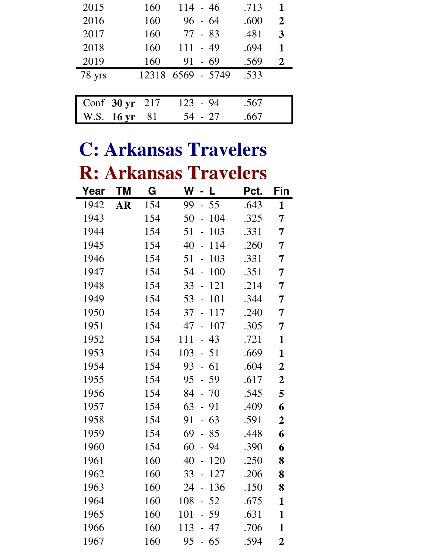| 2015                 | 160 | $114 - 46$        | .713 | 1              |
|----------------------|-----|-------------------|------|----------------|
| 2016                 | 160 | $96 - 64$         | .600 | $\overline{2}$ |
| 2017                 | 160 | $77 - 83$         | .481 | 3              |
| 2018                 | 160 | $111 - 49$        | .694 | $\mathbf{1}$   |
| 2019                 | 160 | $91 - 69$         | .569 | $\mathbf{2}$   |
| 78 yrs               |     | 12318 6569 - 5749 | .533 |                |
|                      |     |                   |      |                |
| Conf $30 \text{ yr}$ | 217 | $123 - 94$        | .567 |                |
| W.S. 16 yr           | 81  | $-27$<br>54       | .667 |                |

## **C: Arkansas Travelers R: Arkansas Travelers**

| Year | ΤM        | G   | W<br>L                               | Pct. | Fin                     |
|------|-----------|-----|--------------------------------------|------|-------------------------|
| 1942 | <b>AR</b> | 154 | 99<br>55<br>$\overline{a}$           | .643 | $\mathbf{1}$            |
| 1943 |           | 154 | 50<br>104<br>$\overline{a}$          | .325 | 7                       |
| 1944 |           | 154 | 51<br>103<br>$\overline{a}$          | .331 | 7                       |
| 1945 |           | 154 | 40<br>114<br>$\overline{a}$          | .260 | 7                       |
| 1946 |           | 154 | 51<br>103<br>$\frac{1}{2}$           | .331 | 7                       |
| 1947 |           | 154 | 54<br>100<br>$\overline{a}$          | .351 | $\overline{7}$          |
| 1948 |           | 154 | 33<br>121<br>$\overline{a}$          | .214 | 7                       |
| 1949 |           | 154 | 53<br>101<br>$\overline{a}$          | .344 | 7                       |
| 1950 |           | 154 | 37<br>117<br>$\overline{a}$          | .240 | 7                       |
| 1951 |           | 154 | 47<br>107<br>$\frac{1}{2}$           | .305 | 7                       |
| 1952 |           | 154 | 111<br>43<br>$\equiv$                | .721 | $\mathbf{1}$            |
| 1953 |           | 154 | 103<br>$-51$                         | .669 | $\mathbf{1}$            |
| 1954 |           | 154 | 93<br>61<br>$\overline{a}$           | .604 | $\boldsymbol{2}$        |
| 1955 |           | 154 | 95<br>$-59$                          | .617 | $\overline{\mathbf{2}}$ |
| 1956 |           | 154 | 84<br>$-70$                          | .545 | 5                       |
| 1957 |           | 154 | 63<br>$-91$                          | .409 | 6                       |
| 1958 |           | 154 | 63<br>91<br>$\overline{\phantom{0}}$ | .591 | $\boldsymbol{2}$        |
| 1959 |           | 154 | 69<br>85<br>$\overline{a}$           | .448 | 6                       |
| 1960 |           | 154 | 60<br>94<br>$\overline{a}$           | .390 | 6                       |
| 1961 |           | 160 | 40<br>120<br>$\frac{1}{2}$           | .250 | 8                       |
| 1962 |           | 160 | 33<br>127<br>$\overline{a}$          | .206 | 8                       |
| 1963 |           | 160 | 136<br>24<br>$\frac{1}{2}$           | .150 | 8                       |
| 1964 |           | 160 | 52<br>108<br>$\overline{a}$          | .675 | 1                       |
| 1965 |           | 160 | 101<br>$-59$                         | .631 | $\mathbf{1}$            |
| 1966 |           | 160 | 113<br>47                            | .706 | $\mathbf{1}$            |
| 1967 |           | 160 | 95<br>- 65                           | .594 | $\overline{2}$          |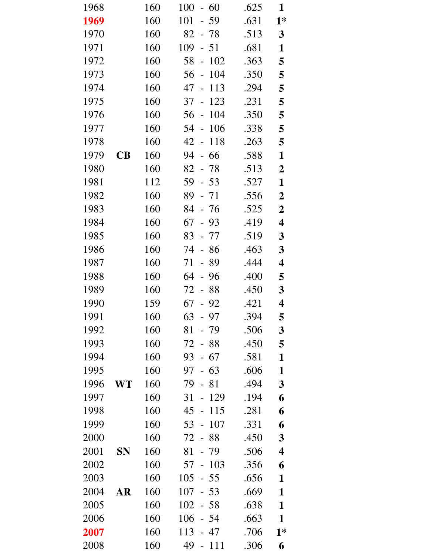| 1968 |           | 160 | 100<br>60<br>$ \,$                       | .625 | 1                |
|------|-----------|-----|------------------------------------------|------|------------------|
| 1969 |           | 160 | 101<br>$-59$                             | .631 | $1*$             |
| 1970 |           | 160 | 82 - 78                                  | .513 | $\mathbf{3}$     |
| 1971 |           | 160 | 109<br>$-51$                             | .681 | $\mathbf{1}$     |
| 1972 |           | 160 | 58<br>102<br>$\sim$                      | .363 | 5                |
| 1973 |           | 160 | 104<br>56<br>$\overline{\phantom{a}}$    | .350 | 5                |
| 1974 |           | 160 | 47<br>113<br>$\overline{\phantom{a}}$    | .294 | 5                |
| 1975 |           | 160 | 37<br>123<br>$\bar{\phantom{a}}$         | .231 | 5                |
| 1976 |           | 160 | 56<br>104<br>$\frac{1}{2}$               | .350 | 5                |
| 1977 |           | 160 | 54<br>106<br>$\mathcal{L}$               | .338 | 5                |
| 1978 |           | 160 | 42<br>118<br>$\mathcal{L}_{\mathcal{A}}$ | .263 | 5                |
| 1979 | CB        | 160 | 94<br>66<br>$\frac{1}{2}$                | .588 | $\mathbf{1}$     |
| 1980 |           | 160 | 82 - 78                                  | .513 | $\boldsymbol{2}$ |
| 1981 |           | 112 | 59<br>$-53$                              | .527 | $\mathbf{1}$     |
| 1982 |           | 160 | $89 - 71$                                | .556 | $\boldsymbol{2}$ |
| 1983 |           | 160 | 84<br>- 76                               | .525 | $\overline{2}$   |
| 1984 |           | 160 | 67<br>- 93                               | .419 | 4                |
| 1985 |           | 160 | 83<br>- 77                               | .519 | $\mathbf{3}$     |
| 1986 |           | 160 | 74<br>- 86                               | .463 | $\mathbf{3}$     |
| 1987 |           | 160 | 71<br>- 89                               | .444 | 4                |
| 1988 |           | 160 | 64<br>96<br>$\equiv$                     | .400 | 5                |
| 1989 |           | 160 | - 88<br>72                               | .450 | $\mathbf{3}$     |
| 1990 |           | 159 | 67<br>$-92$                              | .421 | 4                |
| 1991 |           | 160 | 63<br>97                                 | .394 | 5                |
| 1992 |           | 160 | 81<br>- 79                               | .506 | $\mathbf{3}$     |
| 1993 |           | 160 | 72<br>88<br>$\sim$                       | .450 | 5                |
| 1994 |           | 160 | $-67$<br>93                              | .581 | $\mathbf{1}$     |
| 1995 |           | 160 | 97<br>$-63$                              | .606 | $\mathbf{1}$     |
| 1996 | WT        | 160 | 79<br>$-81$                              | .494 | $\mathbf{3}$     |
| 1997 |           | 160 | 31<br>129                                | .194 | 6                |
| 1998 |           | 160 | 45<br>115<br>$\sim$                      | .281 | 6                |
| 1999 |           | 160 | 53<br>107<br>$\Box$                      | .331 | 6                |
| 2000 |           | 160 | 72<br>- 88                               | .450 | $\mathbf{3}$     |
| 2001 | <b>SN</b> | 160 | 81<br>$-79$                              | .506 | 4                |
| 2002 |           | 160 | 103<br>57<br>$\frac{1}{2}$               | .356 | 6                |
| 2003 |           | 160 | 105<br>- 55                              | .656 | 1                |
| 2004 | <b>AR</b> | 160 | 107<br>$-53$                             | .669 | $\mathbf{1}$     |
| 2005 |           | 160 | 102<br>$-58$                             | .638 | $\mathbf{1}$     |
| 2006 |           | 160 | 106<br>$-54$                             | .663 | $\mathbf{1}$     |
| 2007 |           | 160 | 113<br>47                                | .706 | $1*$             |
| 2008 |           | 160 | 49<br><b>111</b><br>$\sim$               | .306 | 6                |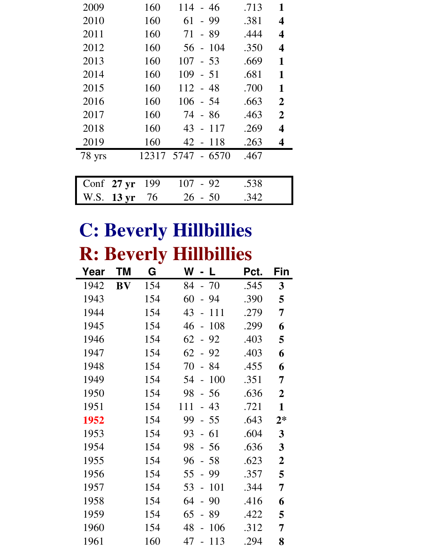| 2009   |                        | 160<br>114    | - 46                  | .713 | 1                       |
|--------|------------------------|---------------|-----------------------|------|-------------------------|
| 2010   |                        | 160<br>61     | - 99                  | .381 | 4                       |
| 2011   |                        | 160<br>71     | - 89                  | .444 | $\overline{\mathbf{4}}$ |
| 2012   |                        | 160<br>56     | 104<br>$\blacksquare$ | .350 | $\overline{\mathbf{4}}$ |
| 2013   |                        | 160<br>107    | $-53$                 | .669 | 1                       |
| 2014   |                        | 160<br>109    | $-51$                 | .681 | 1                       |
| 2015   |                        | 160           | $112 - 48$            | .700 | 1                       |
| 2016   |                        | 160           | $106 - 54$            | .663 | $\overline{2}$          |
| 2017   |                        | 160           | 74 - 86               | .463 | $\overline{2}$          |
| 2018   |                        | 160<br>$43 -$ | 117                   | .269 | 4                       |
| 2019   |                        | 160<br>$42 -$ | -118                  | .263 | 4                       |
| 78 yrs |                        | 12317         | 5747 - 6570           | .467 |                         |
|        |                        |               |                       |      |                         |
| Conf   | $27 \text{ yr}$        | 199<br>107    | - 92                  | .538 |                         |
| W.S.   | 13 <sub>yr</sub><br>76 | 26            | - 50                  | .342 |                         |

## **C: Beverly Hillbillies R: Beverly Hillbillies**

| Year | ΤM        | G   | W<br>L                                | Pct. | Fin            |
|------|-----------|-----|---------------------------------------|------|----------------|
| 1942 | <b>BV</b> | 154 | $-70$<br>84                           | .545 | $\mathbf{3}$   |
| 1943 |           | 154 | 60<br>94<br>$\overline{a}$            | .390 | 5              |
| 1944 |           | 154 | 43<br>111                             | .279 | 7              |
| 1945 |           | 154 | 108<br>46<br>$\bar{\phantom{a}}$      | .299 | 6              |
| 1946 |           | 154 | 62<br>92<br>$\mathbb{L}^{\mathbb{Z}}$ | .403 | 5              |
| 1947 |           | 154 | 62<br>92<br>$\bar{\phantom{a}}$       | .403 | 6              |
| 1948 |           | 154 | 70<br>84                              | .455 | 6              |
| 1949 |           | 154 | 100<br>54<br>$\overline{a}$           | .351 | 7              |
| 1950 |           | 154 | $-56$<br>98                           | .636 | $\overline{2}$ |
| 1951 |           | 154 | 111<br>$-43$                          | .721 | $\mathbf{1}$   |
| 1952 |           | 154 | 99<br>$-55$                           | .643 | $2*$           |
| 1953 |           | 154 | 61<br>93<br>$\overline{a}$            | .604 | 3              |
| 1954 |           | 154 | 98<br>$-56$                           | .636 | 3              |
| 1955 |           | 154 | 96<br>$-58$                           | .623 | $\overline{2}$ |
| 1956 |           | 154 | 55<br>99<br>$\equiv$                  | .357 | 5              |
| 1957 |           | 154 | 101<br>53<br>$\overline{a}$           | .344 | 7              |
| 1958 |           | 154 | 90<br>64<br>$\frac{1}{2}$             | .416 | 6              |
| 1959 |           | 154 | 65<br>89<br>$\overline{a}$            | .422 | 5              |
| 1960 |           | 154 | 48<br>106<br>$\overline{a}$           | .312 | 7              |
| 1961 |           | 160 | 47<br>113<br>$\overline{a}$           | .294 | 8              |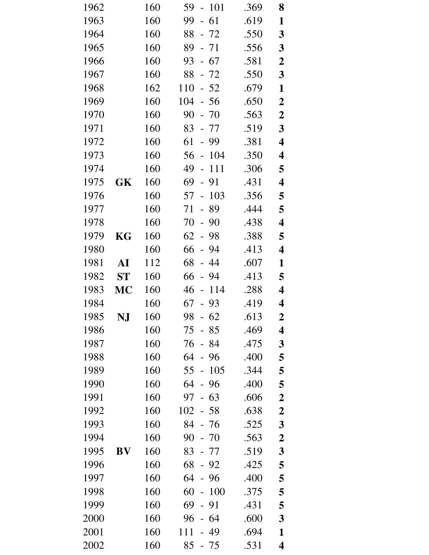| 1962 |           | 160 | 59<br>$-101$                          | .369 | 8                       |
|------|-----------|-----|---------------------------------------|------|-------------------------|
| 1963 |           | 160 | $-61$<br>99                           | .619 | $\mathbf{1}$            |
| 1964 |           | 160 | 88 - 72                               | .550 | $\mathbf{3}$            |
| 1965 |           | 160 | 89<br>$-71$                           | .556 | 3                       |
| 1966 |           | 160 | 93<br>$-67$                           | .581 | $\boldsymbol{2}$        |
| 1967 |           | 160 | 88<br>$-72$                           | .550 | $\mathbf{3}$            |
| 1968 |           | 162 | 110<br>$-52$                          | .679 | $\mathbf{1}$            |
| 1969 |           | 160 | 104<br>$-56$                          | .650 | $\boldsymbol{2}$        |
| 1970 |           | 160 | 90<br>$-70$                           | .563 | $\boldsymbol{2}$        |
| 1971 |           | 160 | 83<br>- 77                            | .519 | $\overline{\mathbf{3}}$ |
| 1972 |           | 160 | 61<br>- 99                            | .381 | 4                       |
| 1973 |           | 160 | 56<br>$-104$                          | .350 | 4                       |
| 1974 |           | 160 | 49<br>111<br>$\overline{\phantom{0}}$ | .306 | 5                       |
| 1975 | GK        | 160 | 69<br>$-91$                           | .431 | 4                       |
| 1976 |           | 160 | 103<br>57<br>$\equiv$                 | .356 | 5                       |
| 1977 |           | 160 | 71<br>89<br>$\frac{1}{2}$             | .444 | 5                       |
| 1978 |           | 160 | 70<br>90<br>$\Box$                    | .438 | $\overline{\mathbf{4}}$ |
| 1979 | KG        | 160 | 62<br>$-98$                           | .388 | 5                       |
| 1980 |           | 160 | 94<br>66<br>$\overline{\phantom{0}}$  | .413 | 4                       |
| 1981 | AI        | 112 | 68<br>44<br>$\mathbb{L}^{\mathbb{N}}$ | .607 | $\mathbf{1}$            |
| 1982 | <b>ST</b> | 160 | 66<br>94<br>$\frac{1}{2}$             | .413 | 5                       |
| 1983 | MC        | 160 | 114<br>46<br>$\overline{\phantom{a}}$ | .288 | 4                       |
| 1984 |           | 160 | 67<br>$-93$                           | .419 | 4                       |
| 1985 | NJ        | 160 | 98<br>62                              | .613 | $\boldsymbol{2}$        |
| 1986 |           | 160 | 75<br>85                              | .469 | 4                       |
| 1987 |           | 160 | 76<br>84                              | .475 | 3                       |
| 1988 |           | 160 | 64<br>96                              | .400 | 5                       |
| 1989 |           | 160 | 105<br>55<br>$\frac{1}{2}$            | .344 | 5                       |
| 1990 |           | 160 | 64<br>$-96$                           | .400 | 5                       |
| 1991 |           | 160 | 63<br>97                              | .606 | $\boldsymbol{2}$        |
| 1992 |           | 160 | 102<br>$-58$                          | .638 | $\boldsymbol{2}$        |
| 1993 |           | 160 | 84<br>- 76                            | .525 | 3                       |
| 1994 |           | 160 | 90<br>$-70$                           | .563 | $\boldsymbol{2}$        |
| 1995 | BV        | 160 | 83<br>- 77                            | .519 | 3                       |
| 1996 |           | 160 | 68<br>92                              | .425 | 5                       |
| 1997 |           | 160 | 64<br>96                              | .400 | 5                       |
| 1998 |           | 160 | 60<br>100                             | .375 | 5                       |
| 1999 |           | 160 | 69<br>91<br>$\overline{a}$            | .431 | 5                       |
| 2000 |           | 160 | 96<br>- 64                            | .600 | 3                       |
| 2001 |           | 160 | 111<br>49                             | .694 | 1                       |
| 2002 |           | 160 | 85<br>- 75                            | .531 | $\overline{\mathbf{4}}$ |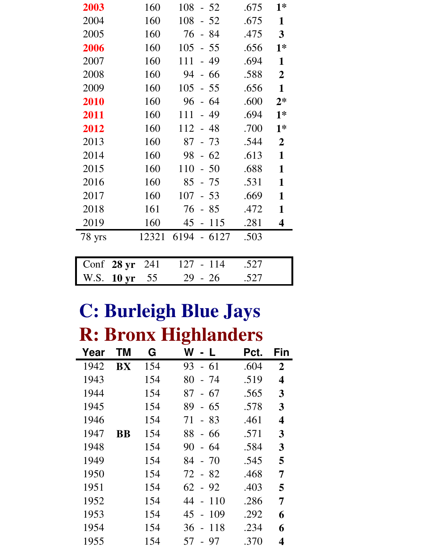| 2003   | 160                     | 108         | $-52$                     |        | .675 | $1*$                    |
|--------|-------------------------|-------------|---------------------------|--------|------|-------------------------|
| 2004   | 160                     | 108         |                           | $-52$  | .675 | $\mathbf{1}$            |
| 2005   | 160                     | 76          |                           | - 84   | .475 | $\overline{\mathbf{3}}$ |
| 2006   | 160                     | 105         | $-55$                     |        | .656 | $1*$                    |
| 2007   | 160                     | 111         | $\mathbb{L}^{\mathbb{Z}}$ | 49     | .694 | $\mathbf{1}$            |
| 2008   | 160                     | 94          | $-66$                     |        | .588 | $\overline{2}$          |
| 2009   | 160                     | 105         | $-55$                     |        | .656 | $\mathbf{1}$            |
| 2010   | 160                     | 96          | $-64$                     |        | .600 | $2*$                    |
| 2011   | 160                     | 111         | $-49$                     |        | .694 | $1*$                    |
| 2012   | 160                     | $112 - 48$  |                           |        | .700 | $1*$                    |
| 2013   | 160                     | 87          | $-73$                     |        | .544 | $\overline{2}$          |
| 2014   | 160                     | 98          |                           | $-62$  | .613 | $\mathbf{1}$            |
| 2015   | 160                     | 110         | $-50$                     |        | .688 | $\mathbf{1}$            |
| 2016   | 160                     | 85          | $-75$                     |        | .531 | $\mathbf{1}$            |
| 2017   | 160                     | 107         |                           | $-53$  | .669 | $\mathbf{1}$            |
| 2018   | 161                     | 76          |                           | $-85$  | .472 | $\mathbf{1}$            |
| 2019   | 160                     | 45          | $\overline{\phantom{0}}$  | 115    | .281 | 4                       |
| 78 yrs | 12321                   | 6194 - 6127 |                           |        | .503 |                         |
|        |                         |             |                           |        |      |                         |
| Conf   | 241<br>28 <sub>yr</sub> | 127         |                           | $-114$ | .527 |                         |
| W.S.   | 55<br>10 <sub>yr</sub>  | 29          | $-26$                     |        | .527 |                         |

### **C: Burleigh Blue Jays R: Bronx Highlanders**

|      |           |     | $\bullet$                            |      |                |
|------|-----------|-----|--------------------------------------|------|----------------|
| Year | ΤM        | G   | W<br>- L                             | Pct. | Fin            |
| 1942 | BX        | 154 | - 61<br>93                           | .604 | $\overline{2}$ |
| 1943 |           | 154 | 80<br>- 74                           | .519 | 4              |
| 1944 |           | 154 | 87<br>67<br>$\blacksquare$           | .565 | 3              |
| 1945 |           | 154 | 89<br>65<br>$\overline{a}$           | .578 | 3              |
| 1946 |           | 154 | 83<br>71<br>$\equiv$                 | .461 | 4              |
| 1947 | <b>BB</b> | 154 | 88<br>66<br>$\overline{\phantom{0}}$ | .571 | 3              |
| 1948 |           | 154 | 90<br>64<br>$\overline{a}$           | .584 | 3              |
| 1949 |           | 154 | $-70$<br>84                          | .545 | 5              |
| 1950 |           | 154 | $-82$<br>72                          | .468 | 7              |
| 1951 |           | 154 | $62 - 92$                            | .403 | 5              |
| 1952 |           | 154 | 44<br>110<br>$\overline{a}$          | .286 | 7              |
| 1953 |           | 154 | 109<br>45<br>$\overline{a}$          | .292 | 6              |
| 1954 |           | 154 | 36<br>118<br>$\overline{a}$          | .234 | 6              |
| 1955 |           | 154 | 57<br>97<br>$\overline{a}$           | .370 | 4              |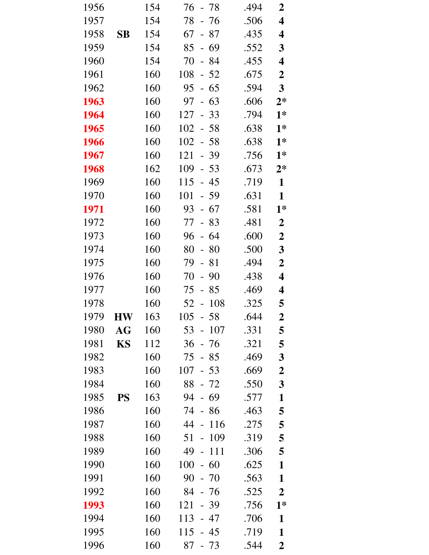| 1956 |                        | 154 | 76<br>- 78                            | .494 | 2                       |
|------|------------------------|-----|---------------------------------------|------|-------------------------|
| 1957 |                        | 154 | 78<br>- 76                            | .506 | $\overline{\mathbf{4}}$ |
| 1958 | $\mathbf{S}\mathbf{B}$ | 154 | 67<br>- 87                            | .435 | 4                       |
| 1959 |                        | 154 | 85<br>- 69                            | .552 | $\mathbf{3}$            |
| 1960 |                        | 154 | 70<br>$-84$                           | .455 | 4                       |
| 1961 |                        | 160 | 108<br>$-52$                          | .675 | $\boldsymbol{2}$        |
| 1962 |                        | 160 | $-65$<br>95                           | .594 | $\mathbf{3}$            |
| 1963 |                        | 160 | $-63$<br>97                           | .606 | $2*$                    |
| 1964 |                        | 160 | 127<br>$-33$                          | .794 | $1*$                    |
| 1965 |                        | 160 | $102 - 58$                            | .638 | $1*$                    |
| 1966 |                        | 160 | 102<br>$-58$                          | .638 | $1*$                    |
| 1967 |                        | 160 | 121<br>$-39$                          | .756 | $1*$                    |
| 1968 |                        | 162 | 109<br>$-53$                          | .673 | $2*$                    |
| 1969 |                        | 160 | 115<br>$-45$                          | .719 | $\mathbf{1}$            |
| 1970 |                        | 160 | 101<br>$-59$                          | .631 | $\mathbf{1}$            |
| 1971 |                        | 160 | 93<br>$-67$                           | .581 | $1*$                    |
| 1972 |                        | 160 | $-83$<br>77                           | .481 | $\boldsymbol{2}$        |
| 1973 |                        | 160 | 96<br>$-64$                           | .600 | $\boldsymbol{2}$        |
| 1974 |                        | 160 | 80<br>- 80                            | .500 | $\mathbf{3}$            |
| 1975 |                        | 160 | 79<br>$-81$                           | .494 | $\boldsymbol{2}$        |
| 1976 |                        | 160 | $-90$<br>70                           | .438 | $\overline{\mathbf{4}}$ |
| 1977 |                        | 160 | 75<br>$-85$                           | .469 | $\overline{\mathbf{4}}$ |
| 1978 |                        | 160 | 108<br>$52 -$                         | .325 | 5                       |
| 1979 | <b>HW</b>              | 163 | 58<br>105                             | .644 | $\boldsymbol{2}$        |
| 1980 | AG                     | 160 | 107<br>53<br>$\overline{\phantom{0}}$ | .331 | 5                       |
| 1981 | <b>KS</b>              | 112 | 36<br>- 76                            | .321 | 5                       |
| 1982 |                        | 160 | 75<br>$-85$                           | .469 | $\mathbf{3}$            |
| 1983 |                        | 160 | 107<br>$-53$                          | .669 | $\boldsymbol{2}$        |
| 1984 |                        | 160 | 88<br>$-72$                           | .550 | $\mathbf{3}$            |
| 1985 | <b>PS</b>              | 163 | 94<br>69                              | .577 | $\mathbf{1}$            |
| 1986 |                        | 160 | 74<br>86<br>$\mathbb{L}^{\mathbb{R}}$ | .463 | 5                       |
| 1987 |                        | 160 | 44<br>116<br>$\overline{\phantom{0}}$ | .275 | 5                       |
| 1988 |                        | 160 | 51<br>109<br>$\overline{\phantom{0}}$ | .319 | 5                       |
| 1989 |                        | 160 | 49<br>111<br>$\equiv$                 | .306 | 5                       |
| 1990 |                        | 160 | 100<br>60<br>$\overline{a}$           | .625 | $\mathbf{1}$            |
| 1991 |                        | 160 | 90<br>$-70$                           | .563 | $\mathbf{1}$            |
| 1992 |                        | 160 | 84<br>- 76                            | .525 | $\boldsymbol{2}$        |
| 1993 |                        | 160 | 121<br>- 39                           | .756 | $1*$                    |
| 1994 |                        | 160 | 113<br>- 47                           | .706 | $\mathbf{1}$            |
| 1995 |                        | 160 | 115<br>45                             | .719 | $\mathbf{1}$            |
| 1996 |                        | 160 | $-73$<br>87                           | .544 | $\mathbf 2$             |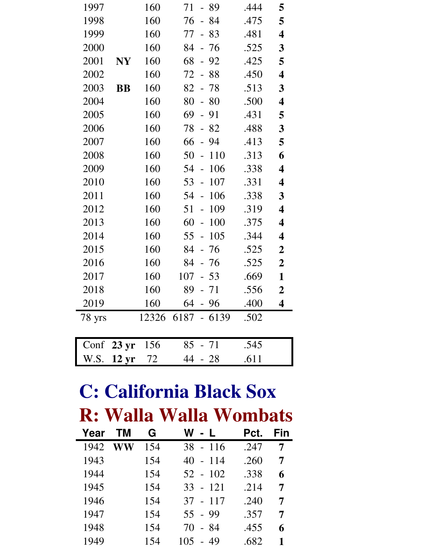| 1997   |                 | 160   | 71<br>- 89                               | .444 | 5                       |
|--------|-----------------|-------|------------------------------------------|------|-------------------------|
| 1998   |                 | 160   | $-84$<br>76                              | .475 | 5                       |
| 1999   |                 | 160   | 77<br>$-83$                              | .481 | $\overline{\mathbf{4}}$ |
| 2000   |                 | 160   | 84 - 76                                  | .525 | 3                       |
| 2001   | <b>NY</b>       | 160   | 68<br>$-92$                              | .425 | 5                       |
| 2002   |                 | 160   | 72<br>88<br>$\overline{\phantom{a}}$     | .450 | $\overline{\mathbf{4}}$ |
| 2003   | <b>BB</b>       | 160   | $82 - 78$                                | .513 | 3                       |
| 2004   |                 | 160   | 80<br>$-80$                              | .500 | $\overline{\mathbf{4}}$ |
| 2005   |                 | 160   | 69<br>$-91$                              | .431 | 5                       |
| 2006   |                 | 160   | 78<br>$-82$                              | .488 | 3                       |
| 2007   |                 | 160   | 66<br>$-94$                              | .413 | 5                       |
| 2008   |                 | 160   | 50<br>110<br>$\overline{\phantom{a}}$    | .313 | 6                       |
| 2009   |                 | 160   | 106<br>54<br>$\overline{\phantom{a}}$    | .338 | $\overline{\mathbf{4}}$ |
| 2010   |                 | 160   | 107<br>$53 -$                            | .331 | $\overline{\mathbf{4}}$ |
| 2011   |                 | 160   | 106<br>54<br>$\overline{\phantom{a}}$    | .338 | 3                       |
| 2012   |                 | 160   | 51<br>109<br>$\bar{\phantom{a}}$         | .319 | $\overline{\mathbf{4}}$ |
| 2013   |                 | 160   | 100<br>60<br>$\mathcal{L}_{\mathcal{A}}$ | .375 | $\overline{\mathbf{4}}$ |
| 2014   |                 | 160   | 105<br>$55 -$                            | .344 | $\overline{\mathbf{4}}$ |
| 2015   |                 | 160   | 84<br>76<br>$\Box$                       | .525 | $\boldsymbol{2}$        |
| 2016   |                 | 160   | 84 - 76                                  | .525 | $\boldsymbol{2}$        |
| 2017   |                 | 160   | 107<br>$-53$                             | .669 | $\mathbf{1}$            |
| 2018   |                 | 160   | $89 - 71$                                | .556 | $\overline{2}$          |
| 2019   |                 | 160   | 64<br>- 96                               | .400 | $\overline{\mathbf{4}}$ |
| 78 yrs |                 | 12326 | $6187 - 6139$                            | .502 |                         |
|        |                 |       |                                          |      |                         |
| Conf   | $23 \text{ yr}$ | 156   | 85<br>71                                 | .545 |                         |
| W.S.   | $12 \text{ yr}$ | 72    | 44<br>$-28$                              | .611 |                         |

#### **C: California Black Sox R: Walla Walla Wombats**

| Year | ΤM | G   | W l<br>- L             | Pct. | Fin |
|------|----|-----|------------------------|------|-----|
| 1942 | WW | 154 | $-116$<br>38           | .247 | 7   |
| 1943 |    | 154 | $-114$<br>40           | .260 | 7   |
| 1944 |    | 154 | $52 - 102$             | .338 | 6   |
| 1945 |    | 154 | $33 - 121$             | .214 | 7   |
| 1946 |    | 154 | $37 - 117$             | .240 | 7   |
| 1947 |    | 154 | 55 - 99                | .357 | 7   |
| 1948 |    | 154 | - 84<br>70             | .455 | 6   |
| 1949 |    | 154 | 105<br>-49<br>$\equiv$ | .682 | 1   |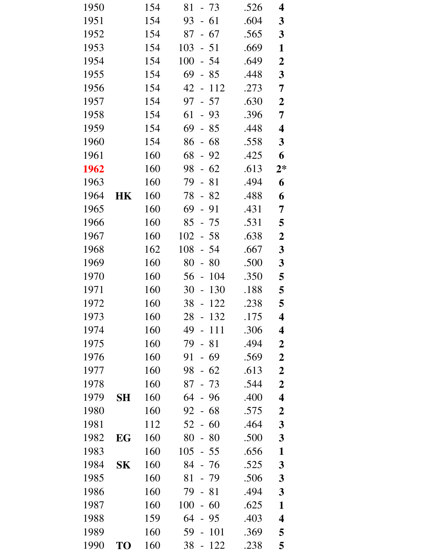| 1950 |           | 154 | 81<br>$-73$                           | .526 | 4                       |
|------|-----------|-----|---------------------------------------|------|-------------------------|
| 1951 |           | 154 | $-61$<br>93                           | .604 | 3                       |
| 1952 |           | 154 | 87<br>$-67$                           | .565 | $\mathbf{3}$            |
| 1953 |           | 154 | $-51$<br>103                          | .669 | $\mathbf{1}$            |
| 1954 |           | 154 | 100<br>$-54$                          | .649 | $\boldsymbol{2}$        |
| 1955 |           | 154 | 69<br>$-85$                           | .448 | $\mathbf{3}$            |
| 1956 |           | 154 | $-112$<br>42                          | .273 | 7                       |
| 1957 |           | 154 | $-57$<br>97                           | .630 | $\boldsymbol{2}$        |
| 1958 |           | 154 | 61<br>$-93$                           | .396 | $\overline{7}$          |
| 1959 |           | 154 | 69<br>$-85$                           | .448 | $\overline{\mathbf{4}}$ |
| 1960 |           | 154 | 86<br>$-68$                           | .558 | $\mathbf{3}$            |
| 1961 |           | 160 | 68<br>$-92$                           | .425 | 6                       |
| 1962 |           | 160 | $-62$<br>98                           | .613 | $2*$                    |
| 1963 |           | 160 | 79<br>$-81$                           | .494 | 6                       |
| 1964 | HK        | 160 | 78<br>$-82$                           | .488 | 6                       |
| 1965 |           | 160 | 69<br>$-91$                           | .431 | 7                       |
| 1966 |           | 160 | 85<br>- 75                            | .531 | 5                       |
| 1967 |           | 160 | 102<br>$-58$                          | .638 | $\boldsymbol{2}$        |
| 1968 |           | 162 | 108<br>- 54                           | .667 | $\mathbf{3}$            |
| 1969 |           | 160 | 80<br>80<br>$\equiv$                  | .500 | $\mathbf{3}$            |
| 1970 |           | 160 | 104<br>56<br>$\overline{\phantom{a}}$ | .350 | 5                       |
| 1971 |           | 160 | 30<br>130<br>$\bar{\phantom{a}}$      | .188 | 5                       |
| 1972 |           | 160 | 38<br>122<br>$\equiv$                 | .238 | 5                       |
| 1973 |           | 160 | 28<br>132                             | .175 | 4                       |
| 1974 |           | 160 | 49<br>111                             | .306 | 4                       |
| 1975 |           | 160 | 79<br>81                              | .494 | $\boldsymbol{2}$        |
| 1976 |           | 160 | 91<br>69<br>$\overline{\phantom{0}}$  | .569 | $\boldsymbol{2}$        |
| 1977 |           | 160 | 98<br>$-62$                           | .613 | $\boldsymbol{2}$        |
| 1978 |           | 160 | $-73$<br>87                           | .544 | $\boldsymbol{2}$        |
| 1979 | <b>SH</b> | 160 | 64<br>96                              | .400 | $\overline{\mathbf{4}}$ |
| 1980 |           | 160 | 68<br>92                              | .575 | $\boldsymbol{2}$        |
| 1981 |           | 112 | 52<br>60<br>$\overline{\phantom{a}}$  | .464 | 3                       |
| 1982 | EG        | 160 | 80<br>$-80$                           | .500 | 3                       |
| 1983 |           | 160 | 105<br>$-55$                          | .656 | $\mathbf{1}$            |
| 1984 | SK        | 160 | 84<br>- 76                            | .525 | 3                       |
| 1985 |           | 160 | 81<br>- 79                            | .506 | 3                       |
| 1986 |           | 160 | 79<br>81<br>$\overline{a}$            | .494 | 3                       |
| 1987 |           | 160 | 100<br>60<br>$\overline{\phantom{0}}$ | .625 | $\mathbf{1}$            |
| 1988 |           | 159 | 64<br>- 95                            | .403 | 4                       |
| 1989 |           | 160 | 59<br>101                             | .369 | 5                       |
| 1990 | <b>TO</b> | 160 | 38<br>122                             | .238 | 5                       |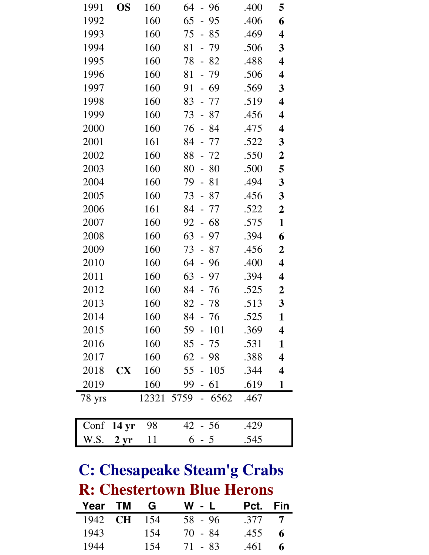| 1991   | <b>OS</b>        | 160 | $-96$<br>64                          | .400 | 5                       |
|--------|------------------|-----|--------------------------------------|------|-------------------------|
| 1992   |                  | 160 | 65<br>95<br>$\overline{a}$           | .406 | 6                       |
| 1993   |                  | 160 | 75<br>- 85                           | .469 | 4                       |
| 1994   |                  | 160 | 81<br>- 79                           | .506 | 3                       |
| 1995   |                  | 160 | 82<br>78<br>$\overline{\phantom{0}}$ | .488 | 4                       |
| 1996   |                  | 160 | 81<br>- 79                           | .506 | 4                       |
| 1997   |                  | 160 | 69<br>91<br>$\overline{\phantom{0}}$ | .569 | 3                       |
| 1998   |                  | 160 | 83<br>- 77                           | .519 | $\overline{\mathbf{4}}$ |
| 1999   |                  | 160 | 73<br>- 87                           | .456 | 4                       |
| 2000   |                  | 160 | 76<br>- 84                           | .475 | 4                       |
| 2001   |                  | 161 | 84<br>- 77                           | .522 | 3                       |
| 2002   |                  | 160 | 88<br>- 72                           | .550 | $\boldsymbol{2}$        |
| 2003   |                  | 160 | 80<br>80<br>$\qquad \qquad -$        | .500 | 5                       |
| 2004   |                  | 160 | 79<br>$-81$                          | .494 | 3                       |
| 2005   |                  | 160 | 73<br>87<br>$\frac{1}{2}$            | .456 | 3                       |
| 2006   |                  | 161 | 84<br>- 77                           | .522 | $\boldsymbol{2}$        |
| 2007   |                  | 160 | 68<br>92                             | .575 | $\mathbf{1}$            |
| 2008   |                  | 160 | 63<br>97<br>$\qquad \qquad -$        | .394 | 6                       |
| 2009   |                  | 160 | 73<br>- 87                           | .456 | $\boldsymbol{2}$        |
| 2010   |                  | 160 | 64<br>96<br>$\overline{\phantom{0}}$ | .400 | 4                       |
| 2011   |                  | 160 | 63<br>$-97$                          | .394 | 4                       |
| 2012   |                  | 160 | 84<br>76                             | .525 | $\boldsymbol{2}$        |
| 2013   |                  | 160 | 82<br>-78                            | .513 | 3                       |
| 2014   |                  | 160 | 84<br>- 76                           | .525 | 1                       |
| 2015   |                  | 160 | 59<br>$-101$                         | .369 | $\overline{\mathbf{4}}$ |
| 2016   |                  | 160 | 85<br>- 75                           | .531 | $\mathbf{1}$            |
| 2017   |                  | 160 | $62 - 98$                            | .388 | $\overline{\mathbf{4}}$ |
| 2018   | <b>CX</b>        | 160 | $55 - 105$                           | .344 | $\overline{\mathbf{4}}$ |
| 2019   |                  | 160 | 99<br>$-61$                          | .619 | $\mathbf{1}$            |
| 78 yrs |                  |     | 12321 5759 - 6562                    | .467 |                         |
| Conf   | 14 <sub>yr</sub> | 98  | $42 - 56$                            | .429 |                         |
| W.S.   | $2 \, yr$        | 11  | $6 - 5$                              | .545 |                         |

#### **C: Chesapeake Steam'g Crabs R: Chestertown Blue Herons**

| Year TM        | G   | $W - L$ | Pct. Fin |                |
|----------------|-----|---------|----------|----------------|
| 1942 <b>CH</b> | 154 | 58 - 96 | .377     | $\overline{7}$ |
| 1943           | 154 | 70 - 84 | .455     | 6              |
| 1944           | 154 | 71 - 83 | .461     | 6              |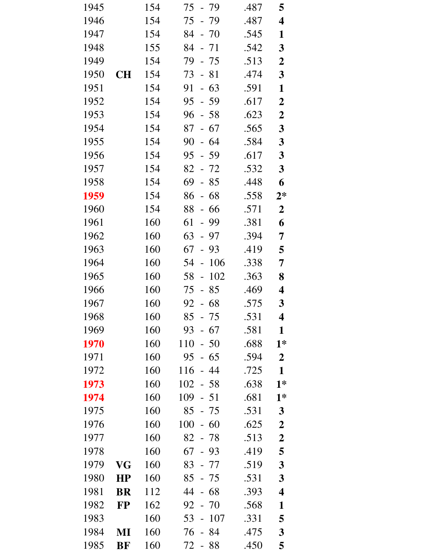| 1945 |           | 154 | 75<br>- 79                             | .487 | 5                       |
|------|-----------|-----|----------------------------------------|------|-------------------------|
| 1946 |           | 154 | 75<br>$-79$                            | .487 | $\overline{\mathbf{4}}$ |
| 1947 |           | 154 | 84<br>$-70$                            | .545 | 1                       |
| 1948 |           | 155 | 84<br>$-71$                            | .542 | $\mathbf{3}$            |
| 1949 |           | 154 | 79<br>$-75$                            | .513 | $\boldsymbol{2}$        |
| 1950 | CН        | 154 | 73<br>$-81$                            | .474 | $\mathbf{3}$            |
| 1951 |           | 154 | $-63$<br>91                            | .591 | $\mathbf{1}$            |
| 1952 |           | 154 | 95 - 59                                | .617 | $\boldsymbol{2}$        |
| 1953 |           | 154 | 96<br>$-58$                            | .623 | $\boldsymbol{2}$        |
| 1954 |           | 154 | 87<br>- 67                             | .565 | $\mathbf{3}$            |
| 1955 |           | 154 | 90<br>64<br>$\overline{a}$             | .584 | $\mathbf{3}$            |
| 1956 |           | 154 | 95<br>$-59$                            | .617 | $\mathbf{3}$            |
| 1957 |           | 154 | 82 - 72                                | .532 | $\mathbf{3}$            |
| 1958 |           | 154 | 69<br>$-85$                            | .448 | 6                       |
| 1959 |           | 154 | 86<br>$-68$                            | .558 | $2*$                    |
| 1960 |           | 154 | 88<br>66<br>$\overline{\phantom{0}}$   | .571 | $\boldsymbol{2}$        |
| 1961 |           | 160 | 61<br>- 99                             | .381 | 6                       |
| 1962 |           | 160 | 63<br>- 97                             | .394 | 7                       |
| 1963 |           | 160 | 67<br>$-93$                            | .419 | 5                       |
| 1964 |           | 160 | 54<br>106<br>$\sim$                    | .338 | 7                       |
| 1965 |           | 160 | 58<br>102<br>$\frac{1}{2}$             | .363 | 8                       |
| 1966 |           | 160 | 75<br>$-85$                            | .469 | $\overline{\mathbf{4}}$ |
| 1967 |           | 160 | $92 - 68$                              | .575 | $\mathbf{3}$            |
| 1968 |           | 160 | 85<br>75                               | .531 | $\boldsymbol{\Lambda}$  |
| 1969 |           | 160 | 93<br>$-67$                            | .581 | $\mathbf{1}$            |
| 1970 |           | 160 | 110<br>50<br>$\mathbb{L}^{\mathbb{N}}$ | .688 | $1*$                    |
| 1971 |           | 160 | 95<br>- 65                             | .594 | $\boldsymbol{2}$        |
| 1972 |           | 160 | 116<br>44<br>$\overline{a}$            | .725 | $\mathbf{1}$            |
| 1973 |           | 160 | 102<br>$-58$                           | .638 | $1*$                    |
| 1974 |           | 160 | 109<br>$-51$                           | .681 | $1*$                    |
| 1975 |           | 160 | 85<br>$-75$                            | .531 | $\mathbf{3}$            |
| 1976 |           | 160 | 100<br>$-60$                           | .625 | $\boldsymbol{2}$        |
| 1977 |           | 160 | 82<br>$-78$                            | .513 | $\boldsymbol{2}$        |
| 1978 |           | 160 | 67<br>$-93$                            | .419 | 5                       |
| 1979 | VG        | 160 | 83<br>$-77$                            | .519 | $\mathbf{3}$            |
| 1980 | HP        | 160 | 85<br>$-75$                            | .531 | 3                       |
| 1981 | <b>BR</b> | 112 | 44<br>$-68$                            | .393 | $\overline{\mathbf{4}}$ |
| 1982 | <b>FP</b> | 162 | 92<br>$-70$                            | .568 | $\mathbf{1}$            |
| 1983 |           | 160 | 53<br>107<br>$\equiv$                  | .331 | 5                       |
| 1984 | MI        | 160 | 84<br>76                               | .475 | $\mathbf{3}$            |
| 1985 | BF        | 160 | 72<br>88<br>$\sim$                     | .450 | 5                       |
|      |           |     |                                        |      |                         |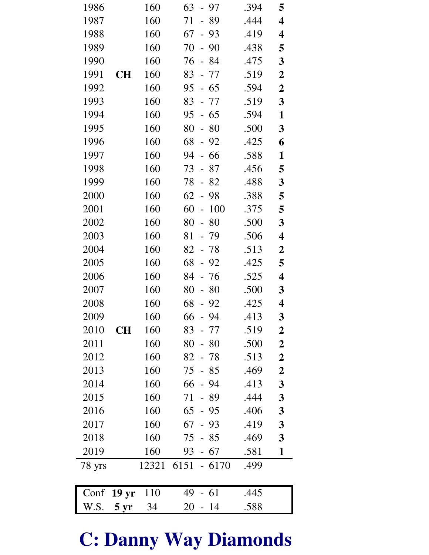| 1986   |                   | 160   | 63<br>- 97                            | .394 | 5                       |
|--------|-------------------|-------|---------------------------------------|------|-------------------------|
| 1987   |                   | 160   | 71<br>89<br>$\overline{\phantom{0}}$  | .444 | 4                       |
| 1988   |                   | 160   | 67<br>$-93$                           | .419 | 4                       |
| 1989   |                   | 160   | 70<br>90<br>$\overline{\phantom{0}}$  | .438 | 5                       |
| 1990   |                   | 160   | 76<br>-84<br>$\frac{1}{2}$            | .475 | 3                       |
| 1991   | <b>CH</b>         | 160   | 83<br>77<br>$\overline{\phantom{a}}$  | .519 | $\boldsymbol{2}$        |
| 1992   |                   | 160   | 95<br>$-65$                           | .594 | $\boldsymbol{2}$        |
| 1993   |                   | 160   | 83<br>- 77                            | .519 | 3                       |
| 1994   |                   | 160   | 95<br>65<br>$\frac{1}{2}$             | .594 | $\mathbf{1}$            |
| 1995   |                   | 160   | 80<br>80<br>$\frac{1}{2}$             | .500 | $\mathbf{3}$            |
| 1996   |                   | 160   | 68<br>$-92$                           | .425 | 6                       |
| 1997   |                   | 160   | 66<br>94<br>$\overline{\phantom{a}}$  | .588 | $\mathbf{1}$            |
| 1998   |                   | 160   | 73<br>$-87$                           | .456 | 5                       |
| 1999   |                   | 160   | 78<br>82<br>$\frac{1}{2}$             | .488 | $\mathbf{3}$            |
| 2000   |                   | 160   | 62<br>98<br>$\frac{1}{2}$             | .388 | 5                       |
| 2001   |                   | 160   | 60<br>100<br>$\overline{\phantom{0}}$ | .375 | 5                       |
| 2002   |                   | 160   | 80<br>80<br>$\overline{\phantom{a}}$  | .500 | $\mathbf{3}$            |
| 2003   |                   | 160   | 81<br>- 79                            | .506 | 4                       |
| 2004   |                   | 160   | 82<br>- 78                            | .513 | $\boldsymbol{2}$        |
| 2005   |                   | 160   | 68<br>92<br>$\frac{1}{2}$             | .425 | 5                       |
| 2006   |                   | 160   | 84<br>76                              | .525 | 4                       |
| 2007   |                   | 160   | 80<br>80<br>$\frac{1}{2}$             | .500 | $\mathbf{3}$            |
| 2008   |                   | 160   | 68<br>$-92$                           | .425 | 4                       |
| 2009   |                   | 160   | 66<br>- 94                            | .413 | $\overline{\mathbf{3}}$ |
| 2010   | <b>CH</b>         | 160   | $83 - 77$                             | .519 | $\boldsymbol{2}$        |
| 2011   |                   | 160   | 80<br>$-80$                           | .500 | $\boldsymbol{2}$        |
| 2012   |                   | 160   | $82 - 78$                             | .513 | $\boldsymbol{2}$        |
| 2013   |                   | 160   | 75<br>$-85$                           | .469 | $\overline{\mathbf{2}}$ |
| 2014   |                   | 160   | $66 - 94$                             | .413 | $\mathbf{3}$            |
| 2015   |                   | 160   | 71<br>- 89                            | .444 | $\mathbf{3}$            |
| 2016   |                   | 160   | $65 - 95$                             | .406 | $\boldsymbol{3}$        |
| 2017   |                   | 160   | $67 - 93$                             | .419 | $\mathbf{3}$            |
| 2018   |                   | 160   | 75<br>$-85$                           | .469 | $\mathbf{3}$            |
| 2019   |                   | 160   | $93 - 67$                             | .581 | $\mathbf{1}$            |
| 78 yrs |                   | 12321 | $6151 - 6170$                         | .499 |                         |
|        |                   |       |                                       |      |                         |
| Conf   | 19 <sub>yr</sub>  | 110   | 49<br>$-61$                           | .445 |                         |
| W.S.   | $5 \,\mathrm{yr}$ | 34    | 20<br>14<br>$\frac{1}{2}$             | .588 |                         |

# **C: Danny Way Diamonds**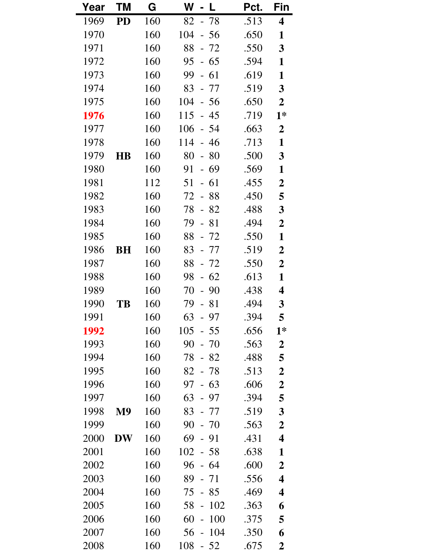| Year | ΤM             | G   | W<br>L                                | Pct. | Fin                     |
|------|----------------|-----|---------------------------------------|------|-------------------------|
| 1969 | <b>PD</b>      | 160 | 82<br>- 78                            | .513 | $\overline{\mathbf{4}}$ |
| 1970 |                | 160 | 104<br>- 56                           | .650 | 1                       |
| 1971 |                | 160 | 88<br>$-72$                           | .550 | $\mathbf{3}$            |
| 1972 |                | 160 | 95<br>$-65$                           | .594 | 1                       |
| 1973 |                | 160 | 99<br>61<br>$\frac{1}{2}$             | .619 | 1                       |
| 1974 |                | 160 | 83<br>- 77                            | .519 | 3                       |
| 1975 |                | 160 | 104<br>$-56$                          | .650 | $\boldsymbol{2}$        |
| 1976 |                | 160 | 115<br>45<br>$\overline{a}$           | .719 | $1*$                    |
| 1977 |                | 160 | 106<br>$-54$                          | .663 | $\boldsymbol{2}$        |
| 1978 |                | 160 | 114<br>46<br>$\frac{1}{2}$            | .713 | $\mathbf{1}$            |
| 1979 | <b>HB</b>      | 160 | 80<br>80<br>$\blacksquare$            | .500 | 3                       |
| 1980 |                | 160 | 91<br>69<br>$\overline{\phantom{0}}$  | .569 | 1                       |
| 1981 |                | 112 | 61<br>51<br>$\frac{1}{2}$             | .455 | $\boldsymbol{2}$        |
| 1982 |                | 160 | 72<br>88<br>$\overline{a}$            | .450 | 5                       |
| 1983 |                | 160 | 78<br>82                              | .488 | 3                       |
| 1984 |                | 160 | 79<br>81<br>$\overline{\phantom{a}}$  | .494 | $\boldsymbol{2}$        |
| 1985 |                | 160 | 88<br>$-72$                           | .550 | $\mathbf{1}$            |
| 1986 | <b>BH</b>      | 160 | 83<br>77<br>$\overline{\phantom{a}}$  | .519 | $\boldsymbol{2}$        |
| 1987 |                | 160 | 88<br>$-72$                           | .550 | $\boldsymbol{2}$        |
| 1988 |                | 160 | 98<br>62                              | .613 | $\mathbf{1}$            |
| 1989 |                | 160 | 90<br>70<br>$\frac{1}{2}$             | .438 | 4                       |
| 1990 | TB             | 160 | 81<br>79<br>$\equiv$                  | .494 | $\mathbf{3}$            |
| 1991 |                | 160 | 63<br>97                              | .394 | 5                       |
| 1992 |                | 160 | 105<br>- 55                           | .656 | $1*$                    |
| 1993 |                | 160 | 90<br>70                              | .563 | $\boldsymbol{2}$        |
| 1994 |                | 160 | 78<br>$-82$                           | .488 | 5                       |
| 1995 |                | 160 | 82<br>- 78                            | .513 | $\boldsymbol{2}$        |
| 1996 |                | 160 | 97<br>$-63$                           | .606 | $\boldsymbol{2}$        |
| 1997 |                | 160 | 63<br>97<br>$\frac{1}{2}$             | .394 | 5                       |
| 1998 | M <sub>9</sub> | 160 | 83<br>- 77                            | .519 | 3                       |
| 1999 |                | 160 | 90<br>$-70$                           | .563 | $\boldsymbol{2}$        |
| 2000 | <b>DW</b>      | 160 | 69<br>$-91$                           | .431 | $\overline{\mathbf{4}}$ |
| 2001 |                | 160 | 102<br>$-58$                          | .638 | 1                       |
| 2002 |                | 160 | 96<br>-64<br>$\frac{1}{2}$            | .600 | $\boldsymbol{2}$        |
| 2003 |                | 160 | 89<br>$-71$                           | .556 | $\overline{\mathbf{4}}$ |
| 2004 |                | 160 | 75<br>85<br>$\overline{\phantom{0}}$  | .469 | 4                       |
| 2005 |                | 160 | 102<br>58<br>$\overline{\phantom{0}}$ | .363 | 6                       |
| 2006 |                | 160 | 60<br>100                             | .375 | 5                       |
| 2007 |                | 160 | 104<br>56                             | .350 | 6                       |
| 2008 |                | 160 | 108<br>$-52$                          | .675 | $\boldsymbol{2}$        |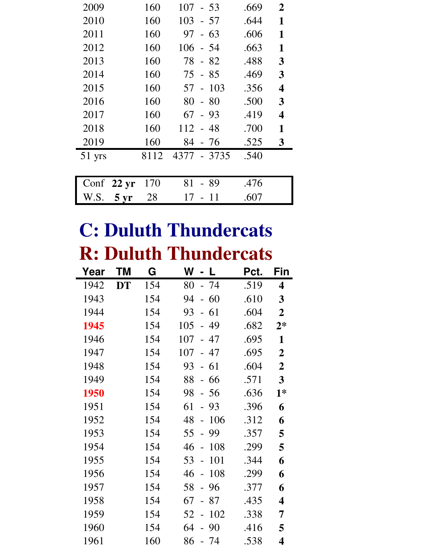| 2009   |                      | 160  | 107<br>$-53$               | .669 | $\overline{2}$          |
|--------|----------------------|------|----------------------------|------|-------------------------|
| 2010   |                      | 160  | 103<br>- 57                | .644 | 1                       |
| 2011   |                      | 160  | 63<br>97<br>$\overline{a}$ | .606 | 1                       |
| 2012   |                      | 160  | 106<br>- 54                | .663 | 1                       |
| 2013   |                      | 160  | 78<br>- 82                 | .488 | 3                       |
| 2014   |                      | 160  | 75<br>- 85                 | .469 | 3                       |
| 2015   |                      | 160  | $-103$<br>57               | .356 | $\overline{\mathbf{4}}$ |
| 2016   |                      | 160  | 80<br>$-80$                | .500 | 3                       |
| 2017   |                      | 160  | 67<br>$-93$                | .419 | $\overline{\mathbf{4}}$ |
| 2018   |                      | 160  | $112 - 48$                 | .700 | 1                       |
| 2019   |                      | 160  | 84<br>- 76                 | .525 | 3                       |
| 51 yrs |                      | 8112 | 4377 - 3735                | .540 |                         |
|        |                      |      |                            |      |                         |
|        | Conf $22 \text{ yr}$ | 170  | 81<br>-89                  | .476 |                         |
| W.S.   | 5 <sub>yr</sub>      | 28   | 11<br>17                   | .607 |                         |

## **C: Duluth Thundercats R: Duluth Thundercats**

| Year | ΤM        | G   | W<br>-L                              | Pct. | Fin                     |
|------|-----------|-----|--------------------------------------|------|-------------------------|
| 1942 | <b>DT</b> | 154 | 80<br>- 74                           | .519 | 4                       |
| 1943 |           | 154 | 94<br>60                             | .610 | 3                       |
| 1944 |           | 154 | 93<br>61<br>$\blacksquare$           | .604 | $\overline{2}$          |
| 1945 |           | 154 | 105<br>49<br>$\overline{a}$          | .682 | $2*$                    |
| 1946 |           | 154 | 107<br>- 47                          | .695 | $\mathbf{1}$            |
| 1947 |           | 154 | 107<br>47<br>$\overline{a}$          | .695 | $\overline{2}$          |
| 1948 |           | 154 | 61<br>93<br>$\overline{\phantom{0}}$ | .604 | $\overline{2}$          |
| 1949 |           | 154 | 88<br>- 66                           | .571 | $\overline{\mathbf{3}}$ |
| 1950 |           | 154 | 98<br>$-56$                          | .636 | $1*$                    |
| 1951 |           | 154 | 61<br>$-93$                          | .396 | 6                       |
| 1952 |           | 154 | 48<br>106<br>$\overline{a}$          | .312 | 6                       |
| 1953 |           | 154 | 55<br>99<br>$\overline{a}$           | .357 | 5                       |
| 1954 |           | 154 | 46<br>108<br>$\overline{a}$          | .299 | 5                       |
| 1955 |           | 154 | 53<br>101<br>$\overline{a}$          | .344 | 6                       |
| 1956 |           | 154 | 108<br>46<br>$\overline{a}$          | .299 | 6                       |
| 1957 |           | 154 | 96<br>58<br>$\overline{a}$           | .377 | 6                       |
| 1958 |           | 154 | 67<br>87<br>$\blacksquare$           | .435 | 4                       |
| 1959 |           | 154 | 102<br>52<br>$\frac{1}{2}$           | .338 | 7                       |
| 1960 |           | 154 | 64<br>-90<br>$\overline{a}$          | .416 | 5                       |
| 1961 |           | 160 | 86<br>- 74                           | .538 | 4                       |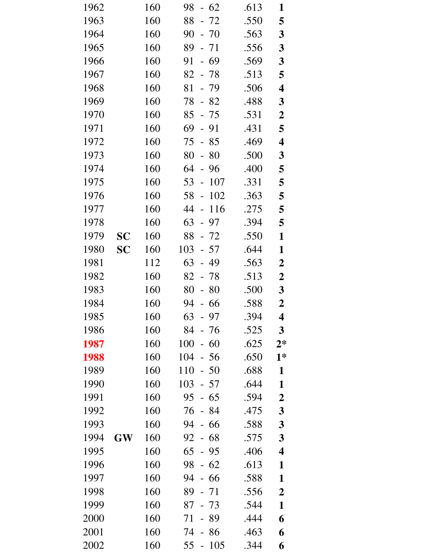| 1962 |           | 160 | 98<br>$-62$                           | .613 | 1                       |
|------|-----------|-----|---------------------------------------|------|-------------------------|
| 1963 |           | 160 | 88<br>72                              | .550 | 5                       |
| 1964 |           | 160 | 90<br>$-70$                           | .563 | $\boldsymbol{3}$        |
| 1965 |           | 160 | 89<br>$-71$                           | .556 | $\mathbf{3}$            |
| 1966 |           | 160 | $-69$<br>91                           | .569 | $\mathbf{3}$            |
| 1967 |           | 160 | 82<br>$-78$                           | .513 | 5                       |
| 1968 |           | 160 | 81<br>$-79$                           | .506 | $\overline{\mathbf{4}}$ |
| 1969 |           | 160 | 78<br>$-82$                           | .488 | $\mathbf{3}$            |
| 1970 |           | 160 | 85<br>$-75$                           | .531 | $\boldsymbol{2}$        |
| 1971 |           | 160 | 69<br>$-91$                           | .431 | 5                       |
| 1972 |           | 160 | 75<br>85<br>$\equiv$                  | .469 | $\overline{\mathbf{4}}$ |
| 1973 |           | 160 | 80<br>$-80$                           | .500 | $\boldsymbol{3}$        |
| 1974 |           | 160 | 64<br>$-96$                           | .400 | 5                       |
| 1975 |           | 160 | 53<br>107<br>$\overline{\phantom{a}}$ | .331 | 5                       |
| 1976 |           | 160 | 102<br>58<br>$\Box$                   | .363 | 5                       |
| 1977 |           | 160 | 44<br>116<br>$\Box$                   | .275 | 5                       |
| 1978 |           | 160 | 63<br>$-97$                           | .394 | 5                       |
| 1979 | <b>SC</b> | 160 | 88<br>$-72$                           | .550 | $\mathbf{1}$            |
| 1980 | <b>SC</b> | 160 | 103<br>$-57$                          | .644 | $\mathbf{1}$            |
| 1981 |           | 112 | 63<br>$-49$                           | .563 | $\boldsymbol{2}$        |
| 1982 |           | 160 | 82<br>$-78$                           | .513 | $\boldsymbol{2}$        |
| 1983 |           | 160 | 80<br>-80<br>$\blacksquare$           | .500 | $\mathbf{3}$            |
| 1984 |           | 160 | 94<br>$-66$                           | .588 | $\boldsymbol{2}$        |
| 1985 |           | 160 | 63<br>97                              | .394 | 4                       |
| 1986 |           | 160 | 84<br>- 76                            | .525 | $\overline{\mathbf{3}}$ |
| 1987 |           | 160 | 100<br>60<br>$\overline{a}$           | .625 | $2*$                    |
| 1988 |           | 160 | 104<br>$-56$                          | .650 | $1*$                    |
| 1989 |           | 160 | 110<br>50<br>$\overline{\phantom{0}}$ | .688 | $\mathbf{1}$            |
| 1990 |           | 160 | 103<br>57<br>$\overline{\phantom{0}}$ | .644 | $\mathbf{1}$            |
| 1991 |           | 160 | 95<br>65                              | .594 | $\boldsymbol{2}$        |
| 1992 |           | 160 | 76<br>$-84$                           | .475 | 3                       |
| 1993 |           | 160 | 94<br>66                              | .588 | 3                       |
| 1994 | <b>GW</b> | 160 | 92<br>68<br>$\equiv$                  | .575 | $\boldsymbol{3}$        |
| 1995 |           | 160 | 65<br>- 95                            | .406 | $\overline{\mathbf{4}}$ |
| 1996 |           | 160 | 98<br>62                              | .613 | 1                       |
| 1997 |           | 160 | 94<br>66                              | .588 | $\mathbf{1}$            |
| 1998 |           | 160 | 89<br>- 71                            | .556 | $\overline{2}$          |
| 1999 |           | 160 | 73<br>87<br>$\overline{\phantom{0}}$  | .544 | $\mathbf{1}$            |
| 2000 |           | 160 | 71<br>89<br>$\equiv$                  | .444 | 6                       |
| 2001 |           | 160 | 74<br>86                              | .463 | 6                       |
| 2002 |           | 160 | 55<br>105<br>$\overline{\phantom{0}}$ | .344 | 6                       |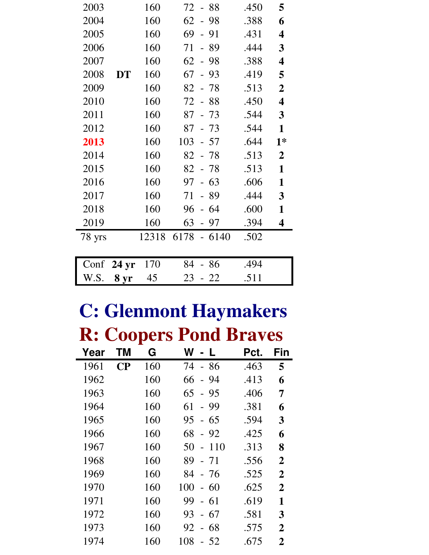| 2003   |       | 160   | 72 - 88                              | .450 | 5                       |
|--------|-------|-------|--------------------------------------|------|-------------------------|
| 2004   |       | 160   | 62<br>$-98$                          | .388 | 6                       |
| 2005   |       | 160   | 69<br>91<br>$\overline{a}$           | .431 | $\overline{\mathbf{4}}$ |
| 2006   |       | 160   | 71<br>89<br>$\equiv$                 | .444 | 3                       |
| 2007   |       | 160   | $62 -$<br>-98                        | .388 | $\overline{\mathbf{4}}$ |
| 2008   | DT    | 160   | 67<br>$-93$                          | .419 | 5                       |
| 2009   |       | 160   | 82<br>-78<br>$\overline{a}$          | .513 | $\boldsymbol{2}$        |
| 2010   |       | 160   | 72<br>$-88$                          | .450 | $\overline{\mathbf{4}}$ |
| 2011   |       | 160   | $87 - 73$                            | .544 | 3                       |
| 2012   |       | 160   | $87 - 73$                            | .544 | $\mathbf{1}$            |
| 2013   |       | 160   | 103<br>$-57$                         | .644 | $1*$                    |
| 2014   |       | 160   | 82<br>- 78                           | .513 | $\overline{2}$          |
| 2015   |       | 160   | $82 - 78$                            | .513 | $\mathbf{1}$            |
| 2016   |       | 160   | 63<br>97<br>$\frac{1}{2}$            | .606 | $\mathbf{1}$            |
| 2017   |       | 160   | 71<br>- 89                           | .444 | 3                       |
| 2018   |       | 160   | 64<br>96<br>$\overline{\phantom{0}}$ | .600 | $\mathbf{1}$            |
| 2019   |       | 160   | 63<br>97                             | .394 | $\overline{\mathbf{4}}$ |
| 78 yrs |       | 12318 | $6178 - 6140$                        | .502 |                         |
|        |       |       |                                      |      |                         |
| Conf   | 24 yr | 170   | -86<br>84                            | .494 |                         |
| W.S.   | 8 yr  | 45    | 23<br>$-22$                          | .511 |                         |

# **C: Glenmont Haymakers**

**R: Coopers Pond Braves**

| Year | ΤM       | G   | W                                      | Pct. | Fin            |
|------|----------|-----|----------------------------------------|------|----------------|
| 1961 | $\bf CP$ | 160 | - 86<br>74                             | .463 | 5              |
| 1962 |          | 160 | 66<br>-94<br>$\blacksquare$            | .413 | 6              |
| 1963 |          | 160 | 65<br>- 95                             | .406 | 7              |
| 1964 |          | 160 | 61<br>-99<br>$\equiv$                  | .381 | 6              |
| 1965 |          | 160 | 95<br>-65<br>$\overline{a}$            | .594 | 3              |
| 1966 |          | 160 | 68<br>$-92$                            | .425 | 6              |
| 1967 |          | 160 | 50<br>110<br>$\overline{\phantom{0}}$  | .313 | 8              |
| 1968 |          | 160 | 89<br>- 71                             | .556 | $\overline{2}$ |
| 1969 |          | 160 | 84<br>- 76                             | .525 | $\overline{2}$ |
| 1970 |          | 160 | 100<br>-60<br>$\frac{1}{2}$            | .625 | $\overline{2}$ |
| 1971 |          | 160 | 99<br>-61<br>$\blacksquare$            | .619 | 1              |
| 1972 |          | 160 | 67<br>93<br>$\overline{\phantom{0}}$   | .581 | 3              |
| 1973 |          | 160 | 68<br>92<br>$\overline{a}$             | .575 | $\overline{2}$ |
| 1974 |          | 160 | 108<br>-52<br>$\overline{\phantom{0}}$ | .675 | $\overline{2}$ |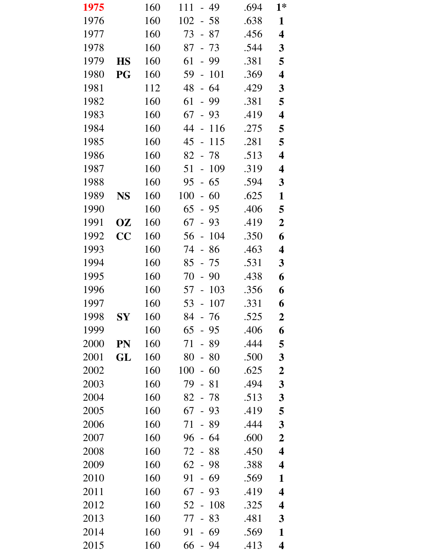| 1975 |            | 160 | 49<br>111<br>$\overline{\phantom{0}}$ | .694 | $1*$                    |
|------|------------|-----|---------------------------------------|------|-------------------------|
| 1976 |            | 160 | $102 - 58$                            | .638 | $\mathbf{1}$            |
| 1977 |            | 160 | 73 - 87                               | .456 | $\overline{\mathbf{4}}$ |
| 1978 |            | 160 | 87<br>$-73$                           | .544 | $\mathbf{3}$            |
| 1979 | <b>HS</b>  | 160 | 61<br>$-99$                           | .381 | 5                       |
| 1980 | PG         | 160 | 59<br>101<br>$\overline{\phantom{a}}$ | .369 | $\overline{\mathbf{4}}$ |
| 1981 |            | 112 | $-64$<br>48                           | .429 | 3                       |
| 1982 |            | 160 | 61<br>- 99                            | .381 | 5                       |
| 1983 |            | 160 | 67<br>93<br>$\equiv$                  | .419 | $\overline{\mathbf{4}}$ |
| 1984 |            | 160 | 44<br>116<br>$\overline{a}$           | .275 | 5                       |
| 1985 |            | 160 | 45<br>115<br>$\frac{1}{2}$            | .281 | 5                       |
| 1986 |            | 160 | 82<br>-78<br>$\sim$ $-$               | .513 | $\overline{\mathbf{4}}$ |
| 1987 |            | 160 | 109<br>51<br>$\overline{a}$           | .319 | 4                       |
| 1988 |            | 160 | 65<br>95<br>$\overline{\phantom{0}}$  | .594 | $\mathbf{3}$            |
| 1989 | <b>NS</b>  | 160 | 100<br>$-60$                          | .625 | $\mathbf{1}$            |
| 1990 |            | 160 | 65<br>95<br>$\mathbb{L}$              | .406 | 5                       |
| 1991 | OZ         | 160 | 67<br>93<br>$\blacksquare$            | .419 | $\boldsymbol{2}$        |
| 1992 | CC         | 160 | 104<br>56<br>$\frac{1}{2}$            | .350 | 6                       |
| 1993 |            | 160 | 74<br>86<br>$\frac{1}{2}$             | .463 | $\overline{\mathbf{4}}$ |
| 1994 |            | 160 | $85 - 75$                             | .531 | $\mathbf{3}$            |
| 1995 |            | 160 | 70<br>90<br>$\overline{\phantom{a}}$  | .438 | 6                       |
| 1996 |            | 160 | 103<br>57<br>$\blacksquare$           | .356 | 6                       |
| 1997 |            | 160 | 53 - 107                              | .331 | 6                       |
| 1998 | ${\bf SY}$ | 160 | 84<br>76                              | .525 | $\boldsymbol{2}$        |
| 1999 |            | 160 | 65<br>95<br>$\equiv$                  | .406 | 6                       |
| 2000 | PN         | 160 | 89<br>71                              | .444 | 5                       |
| 2001 | GL         | 160 | 80<br>80                              | .500 | 3                       |
| 2002 |            | 160 | 100<br>60<br>$\frac{1}{2}$            | .625 | $\boldsymbol{2}$        |
| 2003 |            | 160 | 79<br>$-81$                           | .494 | $\mathbf{3}$            |
| 2004 |            | 160 | 82<br>-78                             | .513 | $\boldsymbol{3}$        |
| 2005 |            | 160 | 67<br>$-93$                           | .419 | 5                       |
| 2006 |            | 160 | 71<br>89                              | .444 | 3                       |
| 2007 |            | 160 | 64<br>96<br>$\overline{\phantom{0}}$  | .600 | $\boldsymbol{2}$        |
| 2008 |            | 160 | 72<br>- 88                            | .450 | $\overline{\mathbf{4}}$ |
| 2009 |            | 160 | 62<br>98                              | .388 | 4                       |
| 2010 |            | 160 | 91<br>69                              | .569 | 1                       |
| 2011 |            | 160 | 67<br>93                              | .419 | $\overline{\mathbf{4}}$ |
| 2012 |            | 160 | 108<br>52<br>$\overline{\phantom{a}}$ | .325 | 4                       |
| 2013 |            | 160 | 77<br>83<br>$\overline{\phantom{0}}$  | .481 | 3                       |
| 2014 |            | 160 | 91<br>69                              | .569 | $\mathbf{1}$            |
| 2015 |            | 160 | 66<br>$-94$                           | .413 | $\overline{\mathbf{4}}$ |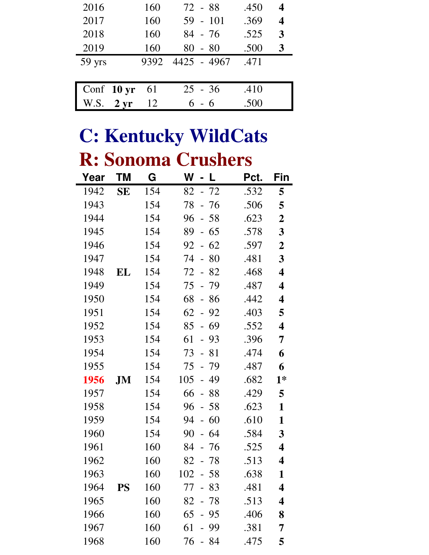| 2016   |                      | 160  | 72 - 88     | .450 | $\boldsymbol{4}$ |
|--------|----------------------|------|-------------|------|------------------|
| 2017   |                      | 160  | $59 - 101$  | .369 | 4                |
| 2018   |                      | 160  | $84 - 76$   | .525 | 3                |
| 2019   |                      | 160  | $80 - 80$   | .500 | 3                |
|        |                      |      |             |      |                  |
| 59 yrs |                      | 9392 | 4425 - 4967 | .471 |                  |
|        |                      |      |             |      |                  |
|        | Conf $10 \text{ yr}$ | 61   | $25 - 36$   | .410 |                  |

## **C: Kentucky WildCats R: Sonoma Crushers**

| Year | ΤM        | G   | W<br>- L                              | Pct. | Fin                     |
|------|-----------|-----|---------------------------------------|------|-------------------------|
| 1942 | <b>SE</b> | 154 | $-72$<br>82                           | .532 | 5                       |
| 1943 |           | 154 | 78<br>- 76                            | .506 | 5                       |
| 1944 |           | 154 | 96<br>$-58$                           | .623 | $\boldsymbol{2}$        |
| 1945 |           | 154 | 89<br>$-65$                           | .578 | $\mathbf{3}$            |
| 1946 |           | 154 | 92<br>62<br>$\equiv$                  | .597 | $\boldsymbol{2}$        |
| 1947 |           | 154 | 74<br>$-80$                           | .481 | $\mathbf{3}$            |
| 1948 | EL        | 154 | 72 - 82                               | .468 | $\overline{\mathbf{4}}$ |
| 1949 |           | 154 | 75<br>$-79$                           | .487 | $\overline{\mathbf{4}}$ |
| 1950 |           | 154 | 68<br>$-86$                           | .442 | $\overline{\mathbf{4}}$ |
| 1951 |           | 154 | 62<br>92<br>$\equiv$                  | .403 | 5                       |
| 1952 |           | 154 | $-69$<br>85                           | .552 | $\overline{\mathbf{4}}$ |
| 1953 |           | 154 | 61<br>$-93$                           | .396 | 7                       |
| 1954 |           | 154 | 73<br>81<br>$\equiv$                  | .474 | 6                       |
| 1955 |           | 154 | 75<br>$-79$                           | .487 | 6                       |
| 1956 | JM        | 154 | 105<br>49<br>$\overline{\phantom{0}}$ | .682 | $1*$                    |
| 1957 |           | 154 | 66<br>$-88$                           | .429 | 5                       |
| 1958 |           | 154 | 96<br>$-58$                           | .623 | 1                       |
| 1959 |           | 154 | 94<br>60<br>$\mathbb{L}^{\mathbb{N}}$ | .610 | 1                       |
| 1960 |           | 154 | 90<br>$-64$                           | .584 | $\mathbf{3}$            |
| 1961 |           | 160 | 84<br>- 76                            | .525 | 4                       |
| 1962 |           | 160 | 82<br>$-78$                           | .513 | 4                       |
| 1963 |           | 160 | $102 - 58$                            | .638 | 1                       |
| 1964 | <b>PS</b> | 160 | 77<br>- 83                            | .481 | 4                       |
| 1965 |           | 160 | 82<br>- 78                            | .513 | $\overline{\mathbf{4}}$ |
| 1966 |           | 160 | 65<br>- 95                            | .406 | 8                       |
| 1967 |           | 160 | 61<br>99                              | .381 | 7                       |
| 1968 |           | 160 | 76<br>84                              | .475 | 5                       |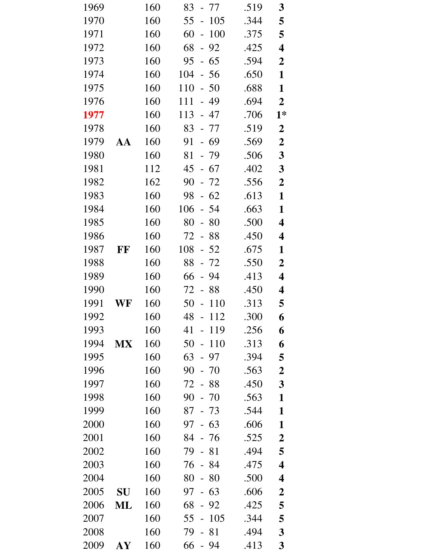| 1969 |                  | 160 | 83<br>- 77                            | .519 | 3                       |
|------|------------------|-----|---------------------------------------|------|-------------------------|
| 1970 |                  | 160 | 55<br>105<br>$\overline{\phantom{a}}$ | .344 | 5                       |
| 1971 |                  | 160 | 60<br>100<br>$\overline{\phantom{0}}$ | .375 | 5                       |
| 1972 |                  | 160 | 68<br>92<br>$\overline{\phantom{0}}$  | .425 | $\overline{\mathbf{4}}$ |
| 1973 |                  | 160 | 95<br>$-65$                           | .594 | $\boldsymbol{2}$        |
| 1974 |                  | 160 | 104<br>$-56$                          | .650 | $\mathbf{1}$            |
| 1975 |                  | 160 | 110<br>$-50$                          | .688 | $\mathbf{1}$            |
| 1976 |                  | 160 | 111<br>- 49                           | .694 | $\overline{2}$          |
| 1977 |                  | 160 | 113<br>- 47                           | .706 | $1*$                    |
| 1978 |                  | 160 | 83<br>$-77$                           | .519 | $\boldsymbol{2}$        |
| 1979 | AA               | 160 | 91<br>$-69$                           | .569 | $\boldsymbol{2}$        |
| 1980 |                  | 160 | 81<br>$-79$                           | .506 | $\mathbf{3}$            |
| 1981 |                  | 112 | 45 - 67                               | .402 | $\mathbf{3}$            |
| 1982 |                  | 162 | 90<br>$-72$                           | .556 | $\boldsymbol{2}$        |
| 1983 |                  | 160 | 98<br>$-62$                           | .613 | $\mathbf{1}$            |
| 1984 |                  | 160 | 106<br>54<br>$\equiv$                 | .663 | 1                       |
| 1985 |                  | 160 | 80<br>80<br>$\Box$                    | .500 | $\overline{\mathbf{4}}$ |
| 1986 |                  | 160 | 72 - 88                               | .450 | 4                       |
| 1987 | FF               | 160 | 108<br>$-52$                          | .675 | $\mathbf{1}$            |
| 1988 |                  | 160 | 88<br>$-72$                           | .550 | $\boldsymbol{2}$        |
| 1989 |                  | 160 | 66<br>94                              | .413 | $\overline{\mathbf{4}}$ |
| 1990 |                  | 160 | 88<br>72<br>$\sim$                    | .450 | 4                       |
| 1991 | WF               | 160 | 50<br>$-110$                          | .313 | 5                       |
| 1992 |                  | 160 | 48<br>112                             | .300 | 6                       |
| 1993 |                  | 160 | 41<br>119                             | .256 | 6                       |
| 1994 | <b>MX</b>        | 160 | 50<br>110<br>$\overline{a}$           | .313 | 6                       |
| 1995 |                  | 160 | 63<br>97<br>$\equiv$                  | .394 | 5                       |
| 1996 |                  | 160 | 90<br>$-70$                           | .563 | $\boldsymbol{2}$        |
| 1997 |                  | 160 | 72<br>$-88$                           | .450 | 3                       |
| 1998 |                  | 160 | 90<br>$-70$                           | .563 | 1                       |
| 1999 |                  | 160 | $-73$<br>87                           | .544 | 1                       |
| 2000 |                  | 160 | 97<br>$-63$                           | .606 | $\mathbf{1}$            |
| 2001 |                  | 160 | 84<br>- 76                            | .525 | $\boldsymbol{2}$        |
| 2002 |                  | 160 | 79<br>$-81$                           | .494 | 5                       |
| 2003 |                  | 160 | 84<br>76                              | .475 | $\overline{\mathbf{4}}$ |
| 2004 |                  | 160 | 80<br>80                              | .500 | $\overline{\mathbf{4}}$ |
| 2005 | SU               | 160 | 63<br>97<br>$\frac{1}{2}$             | .606 | $\boldsymbol{2}$        |
| 2006 | ML               | 160 | 68<br>- 92                            | .425 | 5                       |
| 2007 |                  | 160 | 105<br>55<br>$\overline{a}$           | .344 | 5                       |
| 2008 |                  | 160 | 79<br>81                              | .494 | $\mathbf{3}$            |
| 2009 | ${\bf A}{\bf Y}$ | 160 | $-94$<br>66                           | .413 | 3                       |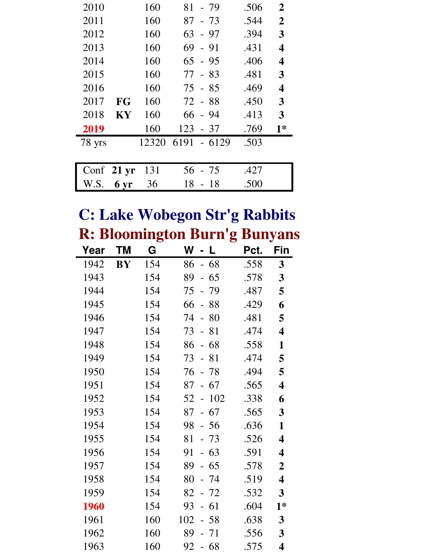| 2010                 |           | 160   | $81 - 79$       | .506 | $\overline{2}$          |
|----------------------|-----------|-------|-----------------|------|-------------------------|
| 2011                 |           | 160   | - 73<br>87      | .544 | $\overline{2}$          |
| 2012                 |           | 160   | 63<br>- 97      | .394 | 3                       |
| 2013                 |           | 160   | $69 - 91$       | .431 | 4                       |
| 2014                 |           | 160   | $65 - 95$       | .406 | $\overline{\mathbf{4}}$ |
| 2015                 |           | 160   | $77 - 83$       | .481 | 3                       |
| 2016                 |           | 160   | $75 - 85$       | .469 | 4                       |
| 2017                 | <b>FG</b> | 160   | $72 - 88$       | .450 | 3                       |
| 2018                 | <b>KY</b> | 160   | $66 - 94$       | .413 | 3                       |
| 2019                 |           | 160   | $123 - 37$      | .769 | $1*$                    |
| 78 yrs               |           | 12320 | 6191<br>$-6129$ | .503 |                         |
|                      |           |       |                 |      |                         |
| Conf $21 \text{ yr}$ |           | 131   | 56 - 75         | .427 |                         |
| W.S.                 | 6 yr      | 36    | 18<br>$-18$     | .500 |                         |

#### **C: Lake Wobegon Str'g Rabbits R: Bloomington Burn'g Bunyans**

| Year | <b>TM</b> | o<br>G | W                              | L     | o<br>Pct. | ັ<br>Fin                |
|------|-----------|--------|--------------------------------|-------|-----------|-------------------------|
| 1942 | <b>BY</b> | 154    | 86                             | $-68$ | .558      | 3                       |
| 1943 |           | 154    | 89                             | 65    | .578      | 3                       |
| 1944 |           | 154    | 75<br>$\overline{a}$           | 79    | .487      | 5                       |
| 1945 |           | 154    | 66<br>$\overline{a}$           | 88    | .429      | 6                       |
| 1946 |           | 154    | 74<br>$\overline{a}$           | 80    | .481      | 5                       |
| 1947 |           | 154    | 73<br>$\overline{a}$           | 81    | .474      | $\overline{\mathbf{4}}$ |
| 1948 |           | 154    | 86<br>$\overline{a}$           | 68    | .558      | 1                       |
| 1949 |           | 154    | 73<br>$\frac{1}{2}$            | 81    | .474      | 5                       |
| 1950 |           | 154    | 76                             | - 78  | .494      | 5                       |
| 1951 |           | 154    | 87<br>$\overline{\phantom{0}}$ | 67    | .565      | $\overline{\mathbf{4}}$ |
| 1952 |           | 154    | 52<br>$\overline{a}$           | 102   | .338      | 6                       |
| 1953 |           | 154    | 87<br>$\overline{a}$           | 67    | .565      | 3                       |
| 1954 |           | 154    | 98                             | $-56$ | .636      | $\mathbf{1}$            |
| 1955 |           | 154    | 81                             | $-73$ | .526      | $\overline{\mathbf{4}}$ |
| 1956 |           | 154    | 91<br>$\mathbf{r}$             | 63    | .591      | $\overline{\mathbf{4}}$ |
| 1957 |           | 154    | 89<br>$\overline{a}$           | 65    | .578      | $\mathbf 2$             |
| 1958 |           | 154    | 80                             | 74    | .519      | 4                       |
| 1959 |           | 154    | 82                             | $-72$ | .532      | 3                       |
| 1960 |           | 154    | 93                             | $-61$ | .604      | $1*$                    |
| 1961 |           | 160    | 102<br>$\overline{a}$          | 58    | .638      | 3                       |
| 1962 |           | 160    | 89                             | 71    | .556      | 3                       |
| 1963 |           | 160    | 92                             | 68    | .575      | $\overline{\mathbf{4}}$ |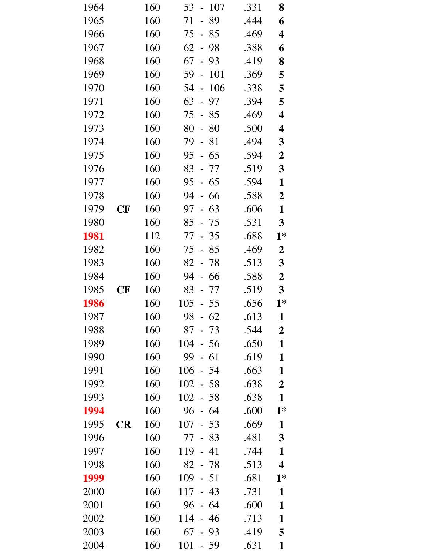| 1964 |           | 160 | 53<br>$-107$          | .331 | 8                       |
|------|-----------|-----|-----------------------|------|-------------------------|
| 1965 |           | 160 | 89<br>71<br>$\equiv$  | .444 | 6                       |
| 1966 |           | 160 | 75<br>$-85$           | .469 | 4                       |
| 1967 |           | 160 | 62<br>$-98$           | .388 | 6                       |
| 1968 |           | 160 | 67<br>$-93$           | .419 | 8                       |
| 1969 |           | 160 | 59<br>101<br>$\Box$   | .369 | 5                       |
| 1970 |           | 160 | 106<br>54<br>$\equiv$ | .338 | 5                       |
| 1971 |           | 160 | 63<br>$-97$           | .394 | 5                       |
| 1972 |           | 160 | 75<br>$-85$           | .469 | $\overline{\mathbf{4}}$ |
| 1973 |           | 160 | 80<br>$-80$           | .500 | 4                       |
| 1974 |           | 160 | 79<br>$-81$           | .494 | $\mathbf{3}$            |
| 1975 |           | 160 | 95<br>$-65$           | .594 | $\boldsymbol{2}$        |
| 1976 |           | 160 | 83<br>- 77            | .519 | $\mathbf{3}$            |
| 1977 |           | 160 | 95<br>$-65$           | .594 | $\mathbf{1}$            |
| 1978 |           | 160 | 94<br>- 66            | .588 | $\boldsymbol{2}$        |
| 1979 | $\bf CF$  | 160 | 97<br>$-63$           | .606 | $\mathbf{1}$            |
| 1980 |           | 160 | 85<br>- 75            | .531 | $\mathbf{3}$            |
| 1981 |           | 112 | 77<br>$-35$           | .688 | $1*$                    |
| 1982 |           | 160 | 75<br>$-85$           | .469 | $\boldsymbol{2}$        |
| 1983 |           | 160 | $82 - 78$             | .513 | $\mathbf{3}$            |
| 1984 |           | 160 | 94<br>$-66$           | .588 | $\boldsymbol{2}$        |
| 1985 | <b>CF</b> | 160 | 83<br>- 77            | .519 | $\mathbf{3}$            |
| 1986 |           | 160 | 105<br>$-55$          | .656 | $1*$                    |
| 1987 |           | 160 | 98<br>- 62            | .613 | 1                       |
| 1988 |           | 160 | 87<br>$-73$           | .544 | $\boldsymbol{2}$        |
| 1989 |           | 160 | 104<br>$-56$          | .650 | $\mathbf{1}$            |
| 1990 |           | 160 | 99<br>$-61$           | .619 | $\mathbf{1}$            |
| 1991 |           | 160 | 106<br>$-54$          | .663 | $\mathbf{1}$            |
| 1992 |           | 160 | 102<br>$-58$          | .638 | $\overline{2}$          |
| 1993 |           | 160 | 102<br>$-58$          | .638 | $\mathbf{1}$            |
| 1994 |           | 160 | 96<br>$-64$           | .600 | $1*$                    |
| 1995 | <b>CR</b> | 160 | 107<br>$-53$          | .669 | $\mathbf{1}$            |
| 1996 |           | 160 | 77<br>$-83$           | .481 | $\mathbf{3}$            |
| 1997 |           | 160 | 119<br>$-41$          | .744 | $\mathbf{1}$            |
| 1998 |           | 160 | 82<br>$-78$           | .513 | $\overline{\mathbf{4}}$ |
| 1999 |           | 160 | 109<br>$-51$          | .681 | $1*$                    |
| 2000 |           | 160 | 117<br>43<br>$\equiv$ | .731 | $\mathbf{1}$            |
| 2001 |           | 160 | 96<br>$-64$           | .600 | $\mathbf{1}$            |
| 2002 |           | 160 | 114<br>$-46$          | .713 | $\mathbf{1}$            |
| 2003 |           | 160 | 67<br>$-93$           | .419 | 5                       |
| 2004 |           | 160 | 101<br>$-59$          | .631 | $\mathbf{1}$            |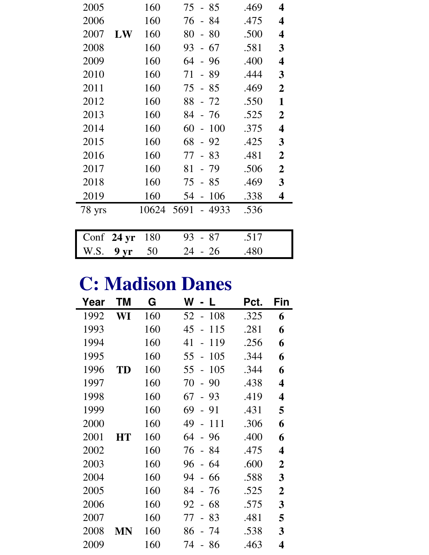| 2005   |                  | 160   | $-85$<br>75                 | .469 | 4                       |
|--------|------------------|-------|-----------------------------|------|-------------------------|
| 2006   |                  | 160   | 76<br>- 84                  | .475 | 4                       |
| 2007   | LW               | 160   | 80<br>$-80$                 | .500 | $\overline{\mathbf{4}}$ |
| 2008   |                  | 160   | 93<br>$-67$                 | .581 | 3                       |
| 2009   |                  | 160   | 64<br>- 96                  | .400 | 4                       |
| 2010   |                  | 160   | - 89<br>71                  | .444 | 3                       |
| 2011   |                  | 160   | 75<br>$-85$                 | .469 | $\overline{2}$          |
| 2012   |                  | 160   | $-72$<br>88                 | .550 | 1                       |
| 2013   |                  | 160   | 84<br>- 76                  | .525 | $\overline{2}$          |
| 2014   |                  | 160   | 60<br>100<br>$\overline{a}$ | .375 | 4                       |
| 2015   |                  | 160   | 68<br>$-92$                 | .425 | 3                       |
| 2016   |                  | 160   | 77<br>$-83$                 | .481 | $\overline{2}$          |
| 2017   |                  | 160   | 81<br>- 79                  | .506 | $\overline{2}$          |
| 2018   |                  | 160   | 75<br>$-85$                 | .469 | 3                       |
| 2019   |                  | 160   | 106<br>54<br>$\overline{a}$ | .338 | 4                       |
| 78 yrs |                  | 10624 | 5691<br>- 4933              | .536 |                         |
|        |                  |       |                             |      |                         |
| Conf   | 24 <sub>yr</sub> | 180   | 93<br>-87                   | .517 |                         |

# **C: Madison Danes**

W.S. **9 yr** 50 24 - 26 .480

| Year | ΤM | G   | W<br>L                               | Pct. | Fin              |
|------|----|-----|--------------------------------------|------|------------------|
| 1992 | WI | 160 | 52<br>108                            | .325 | 6                |
| 1993 |    | 160 | 45<br>115                            | .281 | 6                |
| 1994 |    | 160 | 41<br>119<br>$\overline{a}$          | .256 | 6                |
| 1995 |    | 160 | 55<br>105<br>$\overline{a}$          | .344 | 6                |
| 1996 | TD | 160 | 55<br>105<br>$\overline{a}$          | .344 | 6                |
| 1997 |    | 160 | 70<br>90<br>$\equiv$                 | .438 | 4                |
| 1998 |    | 160 | 67<br>$-93$                          | .419 | 4                |
| 1999 |    | 160 | 69<br>91<br>$\overline{\phantom{0}}$ | .431 | 5                |
| 2000 |    | 160 | 49<br>111<br>$\frac{1}{2}$           | .306 | 6                |
| 2001 | HT | 160 | 64<br>- 96                           | .400 | 6                |
| 2002 |    | 160 | 76<br>- 84                           | .475 | 4                |
| 2003 |    | 160 | 96<br>-64                            | .600 | 2                |
| 2004 |    | 160 | 94<br>66                             | .588 | 3                |
| 2005 |    | 160 | 84<br>-76                            | .525 | $\boldsymbol{2}$ |
| 2006 |    | 160 | 92<br>68                             | .575 | 3                |
| 2007 |    | 160 | 83<br>77                             | .481 | 5                |
| 2008 | MN | 160 | 86<br>-74                            | .538 | 3                |
| 2009 |    | 160 | 74<br>86                             | .463 | 4                |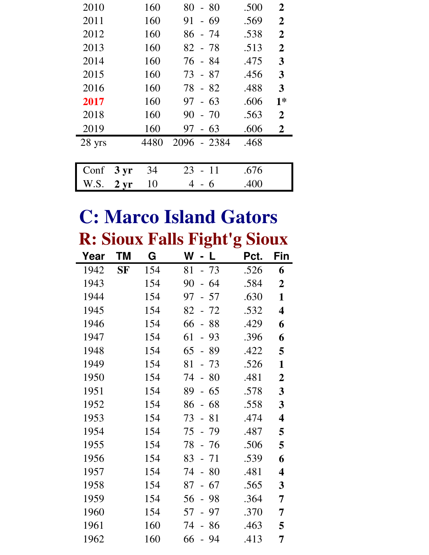| 2010   |               | 160  | 80<br>$-80$     | .500 | $\overline{2}$ |
|--------|---------------|------|-----------------|------|----------------|
| 2011   |               | 160  | 91<br>$-69$     | .569 | $\mathbf 2$    |
| 2012   |               | 160  | 86<br>- 74      | .538 | $\overline{2}$ |
| 2013   |               | 160  | $82 - 78$       | .513 | $\overline{2}$ |
| 2014   |               | 160  | 76 - 84         | .475 | 3              |
| 2015   |               | 160  | 73 - 87         | .456 | 3              |
| 2016   |               | 160  | 78<br>- 82      | .488 | 3              |
| 2017   |               | 160  | $-63$<br>97     | .606 | $1*$           |
| 2018   |               | 160  | 90<br>$-70$     | .563 | $\overline{2}$ |
| 2019   |               | 160  | $-63$<br>97     | .606 | 2              |
| 28 yrs |               | 4480 | 2096<br>$-2384$ | .468 |                |
|        |               |      |                 |      |                |
| Conf   | $3 \, yr$     | 34   | 23<br>-11       | .676 |                |
| W.S.   | $2 \,\rm{yr}$ | 10   | 6               | .400 |                |

#### **C: Marco Island Gators R: Sioux Falls Fight'g Sioux**

|      |           |     | D                                    | ට    |                         |
|------|-----------|-----|--------------------------------------|------|-------------------------|
| Year | ΤM        | G   | W<br>L                               | Pct. | Fin                     |
| 1942 | <b>SF</b> | 154 | $-73$<br>81                          | .526 | 6                       |
| 1943 |           | 154 | 90<br>64<br>$\overline{\phantom{0}}$ | .584 | $\overline{2}$          |
| 1944 |           | 154 | 97<br>57<br>$\overline{a}$           | .630 | $\mathbf{1}$            |
| 1945 |           | 154 | 72<br>82<br>$\overline{\phantom{0}}$ | .532 | $\overline{\mathbf{4}}$ |
| 1946 |           | 154 | 66<br>88<br>$\overline{a}$           | .429 | 6                       |
| 1947 |           | 154 | 61<br>93<br>$\overline{a}$           | .396 | 6                       |
| 1948 |           | 154 | 65<br>89<br>$\blacksquare$           | .422 | 5                       |
| 1949 |           | 154 | 81<br>$-73$                          | .526 | 1                       |
| 1950 |           | 154 | 74<br>80<br>$\overline{a}$           | .481 | $\mathbf 2$             |
| 1951 |           | 154 | 89<br>65<br>$\overline{\phantom{0}}$ | .578 | 3                       |
| 1952 |           | 154 | 86<br>68<br>$\overline{\phantom{0}}$ | .558 | 3                       |
| 1953 |           | 154 | 73<br>81<br>$\overline{a}$           | .474 | 4                       |
| 1954 |           | 154 | 75<br>- 79                           | .487 | 5                       |
| 1955 |           | 154 | 78<br>- 76                           | .506 | 5                       |
| 1956 |           | 154 | 83<br>71<br>$\overline{\phantom{0}}$ | .539 | 6                       |
| 1957 |           | 154 | 74<br>80<br>$\overline{a}$           | .481 | 4                       |
| 1958 |           | 154 | 67<br>87<br>$\overline{a}$           | .565 | 3                       |
| 1959 |           | 154 | 56<br>98<br>$\blacksquare$           | .364 | 7                       |
| 1960 |           | 154 | 57<br>97<br>$\overline{a}$           | .370 | 7                       |
| 1961 |           | 160 | 74<br>86<br>$\equiv$                 | .463 | 5                       |
| 1962 |           | 160 | 66<br>- 94                           | .413 | 7                       |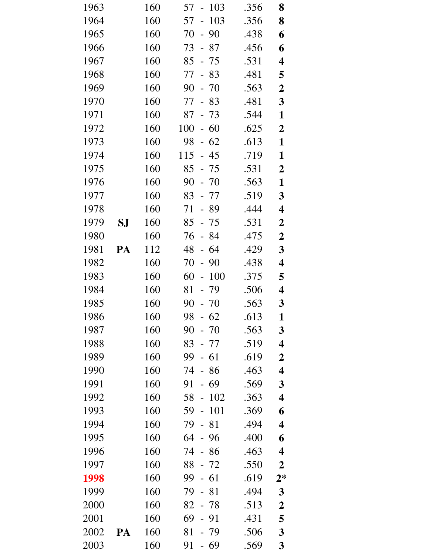| 1963 |    | 160 | 57<br>103<br>$\blacksquare$          | .356 | 8                       |
|------|----|-----|--------------------------------------|------|-------------------------|
| 1964 |    | 160 | 103<br>57<br>$\overline{a}$          | .356 | 8                       |
| 1965 |    | 160 | 70<br>$-90$                          | .438 | 6                       |
| 1966 |    | 160 | 73<br>87<br>$\overline{\phantom{0}}$ | .456 | 6                       |
| 1967 |    | 160 | $85 - 75$                            | .531 | 4                       |
| 1968 |    | 160 | 77<br>83<br>$\Box$                   | .481 | 5                       |
| 1969 |    | 160 | 90<br>$-70$                          | .563 | $\boldsymbol{2}$        |
| 1970 |    | 160 | 77<br>$-83$                          | .481 | $\mathbf{3}$            |
| 1971 |    | 160 | 87<br>$-73$                          | .544 | $\mathbf{1}$            |
| 1972 |    | 160 | 100<br>$-60$                         | .625 | $\boldsymbol{2}$        |
| 1973 |    | 160 | 98<br>62<br>$\overline{\phantom{0}}$ | .613 | $\mathbf{1}$            |
| 1974 |    | 160 | 115<br>$-45$                         | .719 | $\mathbf{1}$            |
| 1975 |    | 160 | $85 - 75$                            | .531 | $\overline{2}$          |
| 1976 |    | 160 | 90<br>$-70$                          | .563 | $\mathbf{1}$            |
| 1977 |    | 160 | $83 - 77$                            | .519 | $\mathbf{3}$            |
| 1978 |    | 160 | 71<br>- 89                           | .444 | 4                       |
| 1979 | SJ | 160 | $85 - 75$                            | .531 | $\boldsymbol{2}$        |
| 1980 |    | 160 | 76<br>$-84$                          | .475 | $\boldsymbol{2}$        |
| 1981 | PA | 112 | 48<br>$-64$                          | .429 | $\mathbf{3}$            |
| 1982 |    | 160 | 70<br>$-90$                          | .438 | 4                       |
| 1983 |    | 160 | 60<br>100<br>$\overline{a}$          | .375 | 5                       |
| 1984 |    | 160 | 81<br>79<br>$\overline{\phantom{a}}$ | .506 | 4                       |
| 1985 |    | 160 | $90 - 70$                            | .563 | $\mathbf{3}$            |
| 1986 |    | 160 | 98<br>62                             | .613 | 1                       |
| 1987 |    | 160 | 90<br>$-70$                          | .563 | 3                       |
| 1988 |    | 160 | 83<br>77                             | .519 | $\overline{\mathbf{4}}$ |
| 1989 |    | 160 | 99<br>61<br>$\overline{\phantom{a}}$ | .619 | $\boldsymbol{2}$        |
| 1990 |    | 160 | 74<br>86<br>$\equiv$                 | .463 | 4                       |
| 1991 |    | 160 | 91<br>- 69                           | .569 | $\mathbf{3}$            |
| 1992 |    | 160 | 102<br>58                            | .363 | 4                       |
| 1993 |    | 160 | 101<br>59                            | .369 | 6                       |
| 1994 |    | 160 | 79<br>81<br>$\overline{\phantom{0}}$ | .494 | 4                       |
| 1995 |    | 160 | 64<br>- 96                           | .400 | 6                       |
| 1996 |    | 160 | 74<br>- 86                           | .463 | 4                       |
| 1997 |    | 160 | 88<br>- 72                           | .550 | $\boldsymbol{2}$        |
| 1998 |    | 160 | 61<br>99                             | .619 | $2*$                    |
| 1999 |    | 160 | 79<br>81                             | .494 | $\mathbf{3}$            |
| 2000 |    | 160 | 82<br>- 78                           | .513 | $\boldsymbol{2}$        |
| 2001 |    | 160 | 69<br>$-91$                          | .431 | 5                       |
| 2002 | PA | 160 | 81<br>-79                            | .506 | $\overline{\mathbf{3}}$ |
| 2003 |    | 160 | 91<br>- 69                           | .569 | 3                       |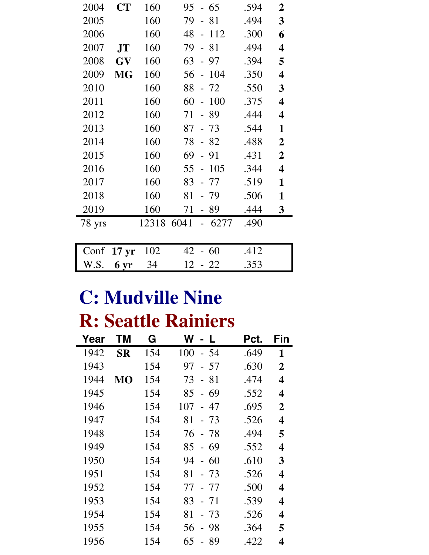| 2004   | <b>CT</b>        | 160   | 95<br>$-65$                           | .594 | $\overline{2}$          |
|--------|------------------|-------|---------------------------------------|------|-------------------------|
| 2005   |                  | 160   | 79<br>- 81                            | .494 | $\overline{\mathbf{3}}$ |
| 2006   |                  | 160   | 48<br>112<br>$\frac{1}{2}$            | .300 | 6                       |
| 2007   | <b>JT</b>        | 160   | 79<br>81<br>$\overline{a}$            | .494 | $\overline{\mathbf{4}}$ |
| 2008   | <b>GV</b>        | 160   | 63<br>97<br>$\overline{a}$            | .394 | 5                       |
| 2009   | <b>MG</b>        | 160   | 56<br>104<br>$\frac{1}{2}$            | .350 | $\overline{\mathbf{4}}$ |
| 2010   |                  | 160   | 88<br>$-72$                           | .550 | 3                       |
| 2011   |                  | 160   | 60<br>100                             | .375 | $\overline{\mathbf{4}}$ |
| 2012   |                  | 160   | 71<br>- 89                            | .444 | $\overline{\mathbf{4}}$ |
| 2013   |                  | 160   | 87<br>- 73                            | .544 | $\mathbf{1}$            |
| 2014   |                  | 160   | 78<br>82                              | .488 | $\boldsymbol{2}$        |
| 2015   |                  | 160   | 69<br>91                              | .431 | $\overline{2}$          |
| 2016   |                  | 160   | 105<br>55<br>$\overline{\phantom{a}}$ | .344 | $\overline{\mathbf{4}}$ |
| 2017   |                  | 160   | 83<br>- 77                            | .519 | $\mathbf{1}$            |
| 2018   |                  | 160   | 81<br>- 79                            | .506 | $\mathbf{1}$            |
| 2019   |                  | 160   | 71<br>- 89                            | .444 | 3                       |
| 78 yrs |                  | 12318 | 6041<br>$-6277$                       | .490 |                         |
|        |                  |       |                                       |      |                         |
| Conf   | 17 <sub>yr</sub> | 102   | 42<br>-60                             | .412 |                         |
| W.S.   | 6 yr             | 34    | 12<br>$-22$                           | .353 |                         |

# **C: Mudville Nine**

## **R: Seattle Rainiers**

| Year | ΤM        | G   | W<br>$\perp$ | Pct. | Fin                     |
|------|-----------|-----|--------------|------|-------------------------|
| 1942 | <b>SR</b> | 154 | 100<br>- 54  | .649 | 1                       |
| 1943 |           | 154 | 97<br>$-57$  | .630 | $\overline{2}$          |
| 1944 | MО        | 154 | 73<br>- 81   | .474 | 4                       |
| 1945 |           | 154 | $-69$<br>85  | .552 | 4                       |
| 1946 |           | 154 | 107<br>- 47  | .695 | $\overline{2}$          |
| 1947 |           | 154 | 81<br>$-73$  | .526 | $\overline{\mathbf{4}}$ |
| 1948 |           | 154 | 76 - 78      | .494 | 5                       |
| 1949 |           | 154 | 85 - 69      | .552 | $\overline{\mathbf{4}}$ |
| 1950 |           | 154 | 94<br>$-60$  | .610 | 3                       |
| 1951 |           | 154 | 81<br>$-73$  | .526 | 4                       |
| 1952 |           | 154 | 77<br>- 77   | .500 | 4                       |
| 1953 |           | 154 | 83<br>- 71   | .539 | 4                       |
| 1954 |           | 154 | 81<br>- 73   | .526 | 4                       |
| 1955 |           | 154 | 56<br>- 98   | .364 | 5                       |
| 1956 |           | 154 | 65<br>- 89   | .422 | 4                       |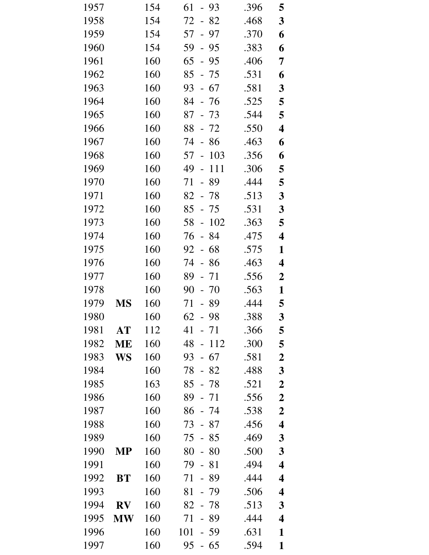| 1957 |           | 154 | 61<br>- 93                           | .396 | 5                       |
|------|-----------|-----|--------------------------------------|------|-------------------------|
| 1958 |           | 154 | 72<br>82<br>$\equiv$                 | .468 | $\mathbf{3}$            |
| 1959 |           | 154 | 57 - 97                              | .370 | 6                       |
| 1960 |           | 154 | 59<br>- 95                           | .383 | 6                       |
| 1961 |           | 160 | $65 - 95$                            | .406 | 7                       |
| 1962 |           | 160 | 85<br>- 75                           | .531 | 6                       |
| 1963 |           | 160 | $93 - 67$                            | .581 | $\mathbf{3}$            |
| 1964 |           | 160 | 84 - 76                              | .525 | 5                       |
| 1965 |           | 160 | $87 - 73$                            | .544 | 5                       |
| 1966 |           | 160 | $88 - 72$                            | .550 | $\overline{\mathbf{4}}$ |
| 1967 |           | 160 | 74<br>86<br>$\overline{\phantom{a}}$ | .463 | 6                       |
| 1968 |           | 160 | 103<br>57<br>$\sim$                  | .356 | 6                       |
| 1969 |           | 160 | 49<br>111<br>$\Box$                  | .306 | 5                       |
| 1970 |           | 160 | 71<br>89<br>$\overline{a}$           | .444 | 5                       |
| 1971 |           | 160 | $82 - 78$                            | .513 | $\mathbf{3}$            |
| 1972 |           | 160 | 85<br>- 75                           | .531 | $\mathbf{3}$            |
| 1973 |           | 160 | 102<br>58<br>$\sim$                  | .363 | 5                       |
| 1974 |           | 160 | 76<br>$-84$                          | .475 | 4                       |
| 1975 |           | 160 | 92<br>$-68$                          | .575 | $\mathbf{1}$            |
| 1976 |           | 160 | 74<br>- 86                           | .463 | $\overline{\mathbf{4}}$ |
| 1977 |           | 160 | 89<br>71<br>$\frac{1}{2}$            | .556 | $\boldsymbol{2}$        |
| 1978 |           | 160 | 90<br>70<br>$\Box$                   | .563 | 1                       |
| 1979 | <b>MS</b> | 160 | 71<br>- 89                           | .444 | 5                       |
| 1980 |           | 160 | 62<br>98                             | .388 | 3                       |
| 1981 | AT        | 112 | 41<br>- 71                           | .366 | 5                       |
| 1982 | ME        | 160 | 48<br>112<br>$\frac{1}{2}$           | .300 | 5                       |
| 1983 | WS        | 160 | 67<br>93<br>$\overline{\phantom{0}}$ | .581 | $\boldsymbol{2}$        |
| 1984 |           | 160 | 78<br>82<br>$\overline{\phantom{0}}$ | .488 | $\mathbf{3}$            |
| 1985 |           | 163 | 85<br>- 78                           | .521 | $\boldsymbol{2}$        |
| 1986 |           | 160 | 89<br>71                             | .556 | $\boldsymbol{2}$        |
| 1987 |           | 160 | 86<br>- 74                           | .538 | $\boldsymbol{2}$        |
| 1988 |           | 160 | 73<br>87<br>$\overline{\phantom{0}}$ | .456 | $\overline{\mathbf{4}}$ |
| 1989 |           | 160 | 75<br>85<br>$\overline{\phantom{0}}$ | .469 | 3                       |
| 1990 | <b>MP</b> | 160 | 80<br>80<br>$\overline{\phantom{0}}$ | .500 | 3                       |
| 1991 |           | 160 | 79<br>81                             | .494 | $\overline{\mathbf{4}}$ |
| 1992 | <b>BT</b> | 160 | 89<br>71                             | .444 | $\overline{\mathbf{4}}$ |
| 1993 |           | 160 | 81<br>79                             | .506 | 4                       |
| 1994 | <b>RV</b> | 160 | 82<br>78                             | .513 | 3                       |
| 1995 | <b>MW</b> | 160 | 71<br>89<br>$\equiv$                 | .444 | $\overline{\mathbf{4}}$ |
| 1996 |           | 160 | 101<br>59                            | .631 | 1                       |
| 1997 |           | 160 | 95<br>65                             | .594 | $\mathbf{1}$            |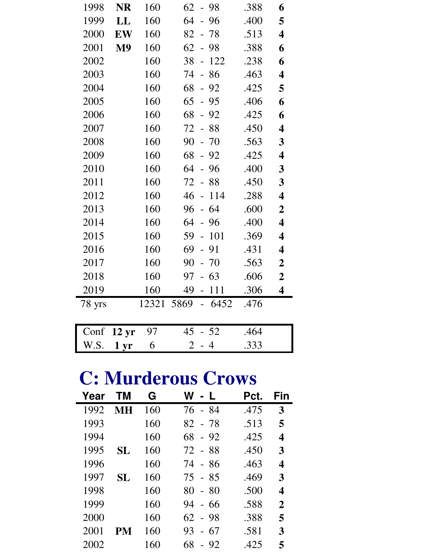| 1998                 | <b>NR</b>      | 160   | $62 - 98$                   | .388 | 6                       |
|----------------------|----------------|-------|-----------------------------|------|-------------------------|
| 1999                 | LL             | 160   | $-96$<br>64                 | .400 | 5                       |
| 2000                 | EW             | 160   | 82<br>$-78$                 | .513 | $\overline{\mathbf{4}}$ |
| 2001                 | M <sub>9</sub> | 160   | 62<br>$-98$                 | .388 | 6                       |
| 2002                 |                | 160   | 38<br>$-122$                | .238 | 6                       |
| 2003                 |                | 160   | $-86$<br>74                 | .463 | $\overline{\mathbf{4}}$ |
| 2004                 |                | 160   | 68<br>$-92$                 | .425 | 5                       |
| 2005                 |                | 160   | 65<br>$-95$                 | .406 | 6                       |
| 2006                 |                | 160   | 68<br>$-92$                 | .425 | 6                       |
| 2007                 |                | 160   | $-88$<br>72                 | .450 | $\overline{\mathbf{4}}$ |
| 2008                 |                | 160   | 90<br>$-70$                 | .563 | $\mathbf{3}$            |
| 2009                 |                | 160   | 68<br>$-92$                 | .425 | $\overline{\mathbf{4}}$ |
| 2010                 |                | 160   | 64<br>- 96                  | .400 | $\mathbf{3}$            |
| 2011                 |                | 160   | 72<br>$-88$                 | .450 | $\mathbf{3}$            |
| 2012                 |                | 160   | 46<br>114<br>$\overline{a}$ | .288 | $\overline{\mathbf{4}}$ |
| 2013                 |                | 160   | 64<br>96<br>$\overline{a}$  | .600 | $\boldsymbol{2}$        |
| 2014                 |                | 160   | 64<br>- 96                  | .400 | $\overline{\mathbf{4}}$ |
| 2015                 |                | 160   | 101<br>59<br>$\overline{a}$ | .369 | $\overline{\mathbf{4}}$ |
| 2016                 |                | 160   | 69<br>91<br>$\overline{a}$  | .431 | 4                       |
| 2017                 |                | 160   | 90<br>$-70$                 | .563 | $\boldsymbol{2}$        |
| 2018                 |                | 160   | 97<br>63                    | .606 | $\boldsymbol{2}$        |
| 2019                 |                | 160   | 49<br>111<br>$\overline{a}$ | .306 | 4                       |
| 78 yrs               |                | 12321 | 5869<br>$-6452$             | .476 |                         |
|                      |                |       |                             |      |                         |
| Conf $12 \text{ yr}$ |                | 97    | 45<br>$-52$                 | .464 |                         |

### **C: Murderous Crows**

W.S. **1 yr** 6 2 - 4 .333

| Year | ΤM | G   | W l<br>- L  | Pct. | Fin            |
|------|----|-----|-------------|------|----------------|
| 1992 | MН | 160 | 76 - 84     | .475 | 3              |
| 1993 |    | 160 | 82 - 78     | .513 | 5              |
| 1994 |    | 160 | 68<br>$-92$ | .425 | 4              |
| 1995 | SL | 160 | 72 - 88     | .450 | 3              |
| 1996 |    | 160 | 74 - 86     | .463 | 4              |
| 1997 | SL | 160 | 75 - 85     | .469 | 3              |
| 1998 |    | 160 | 80<br>$-80$ | .500 | 4              |
| 1999 |    | 160 | 94 - 66     | .588 | $\overline{2}$ |
| 2000 |    | 160 | $62 - 98$   | .388 | 5              |
| 2001 | PM | 160 | 93<br>$-67$ | .581 | 3              |
| 2002 |    | 160 | 68<br>$-92$ | .425 | 5              |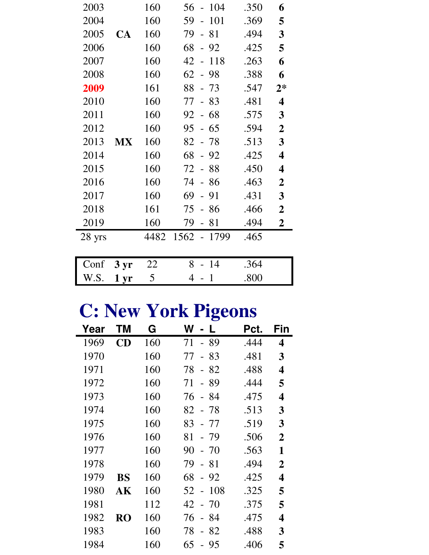| 2003   |                 | 160  | $-104$<br>56                         | .350 | 6                       |
|--------|-----------------|------|--------------------------------------|------|-------------------------|
| 2004   |                 | 160  | 59<br>101<br>$\overline{a}$          | .369 | 5                       |
| 2005   | <b>CA</b>       | 160  | 81<br>79<br>$\overline{a}$           | .494 | 3                       |
| 2006   |                 | 160  | 68<br>92<br>$\overline{\phantom{0}}$ | .425 | 5                       |
| 2007   |                 | 160  | 118<br>42                            | .263 | 6                       |
| 2008   |                 | 160  | 62<br>- 98                           | .388 | 6                       |
| 2009   |                 | 161  | 88<br>73                             | .547 | $2*$                    |
| 2010   |                 | 160  | 77<br>$-83$                          | .481 | $\overline{\mathbf{4}}$ |
| 2011   |                 | 160  | $-68$<br>92                          | .575 | 3                       |
| 2012   |                 | 160  | 95<br>$-65$                          | .594 | $\boldsymbol{2}$        |
| 2013   | MX              | 160  | 82<br>-78                            | .513 | 3                       |
| 2014   |                 | 160  | 68<br>92                             | .425 | 4                       |
| 2015   |                 | 160  | 72<br>- 88                           | .450 | $\overline{\mathbf{4}}$ |
| 2016   |                 | 160  | 74<br>$-86$                          | .463 | $\boldsymbol{2}$        |
| 2017   |                 | 160  | 69<br>$-91$                          | .431 | 3                       |
| 2018   |                 | 161  | -86<br>75                            | .466 | $\boldsymbol{2}$        |
| 2019   |                 | 160  | 79<br>81<br>$\overline{\phantom{0}}$ | .494 | $\overline{2}$          |
| 28 yrs |                 | 4482 | 1562 - 1799                          | .465 |                         |
|        |                 |      |                                      |      |                         |
| Conf   | 3 <sub>yr</sub> | 22   | $-14$<br>8                           | .364 |                         |
| W.S.   | 1 <sub>yr</sub> | 5    | 4<br>$\mathbf{1}$                    | .800 |                         |

## **C: New York Pigeons**

| Year | ΤM                     | G   | W<br>L                                 | Pct. | Fin                     |
|------|------------------------|-----|----------------------------------------|------|-------------------------|
| 1969 | CD                     | 160 | - 89<br>71                             | .444 | 4                       |
| 1970 |                        | 160 | 83<br>77<br>$\equiv$                   | .481 | 3                       |
| 1971 |                        | 160 | 78<br>$-82$                            | .488 | 4                       |
| 1972 |                        | 160 | 89<br>71<br>$\blacksquare$             | .444 | 5                       |
| 1973 |                        | 160 | 76<br>- 84                             | .475 | $\overline{\mathbf{4}}$ |
| 1974 |                        | 160 | 82 - 78                                | .513 | 3                       |
| 1975 |                        | 160 | 83<br>- 77                             | .519 | 3                       |
| 1976 |                        | 160 | 81<br>- 79                             | .506 | $\overline{2}$          |
| 1977 |                        | 160 | 90<br>$-70$                            | .563 | 1                       |
| 1978 |                        | 160 | 79<br>$-81$                            | .494 | $\overline{2}$          |
| 1979 | <b>BS</b>              | 160 | 68<br>$-92$                            | .425 | 4                       |
| 1980 | $\mathbf{A}\mathbf{K}$ | 160 | -108<br>52<br>$\overline{\phantom{0}}$ | .325 | 5                       |
| 1981 |                        | 112 | 42 - 70                                | .375 | 5                       |
| 1982 | <b>RO</b>              | 160 | 76<br>- 84                             | .475 | 4                       |
| 1983 |                        | 160 | 78<br>82<br>$\equiv$                   | .488 | 3                       |
| 1984 |                        | 160 | 65<br>-95<br>$\overline{a}$            | .406 | 5                       |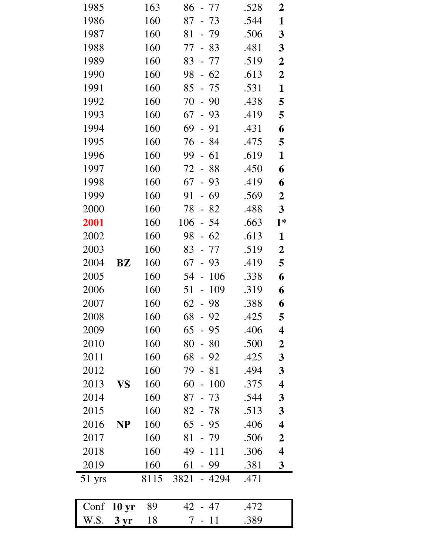| 1985     |                  | 163  | $86 - 77$                             | .528 | $\boldsymbol{2}$        |
|----------|------------------|------|---------------------------------------|------|-------------------------|
| 1986     |                  | 160  | 87<br>$-73$                           | .544 | 1                       |
| 1987     |                  | 160  | 81<br>$-79$                           | .506 | $\mathbf{3}$            |
| 1988     |                  | 160  | 83<br>77<br>$\equiv$                  | .481 | $\mathbf{3}$            |
| 1989     |                  | 160  | $83 - 77$                             | .519 | $\boldsymbol{2}$        |
| 1990     |                  | 160  | $-62$<br>98                           | .613 | $\boldsymbol{2}$        |
| 1991     |                  | 160  | $85 - 75$                             | .531 | $\mathbf{1}$            |
| 1992     |                  | 160  | $70 - 90$                             | .438 | 5                       |
| 1993     |                  | 160  | 67<br>93<br>$\mathbb{L}^+$            | .419 | 5                       |
| 1994     |                  | 160  | 69 -<br>91                            | .431 | 6                       |
| 1995     |                  | 160  | 76 - 84                               | .475 | 5                       |
| 1996     |                  | 160  | 99<br>61<br>$\mathbb{L}^{\mathbb{N}}$ | .619 | $\mathbf{1}$            |
| 1997     |                  | 160  | 72 - 88                               | .450 | 6                       |
| 1998     |                  | 160  | $67 -$<br>93                          | .419 | 6                       |
| 1999     |                  | 160  | 91<br>69<br>$\equiv$                  | .569 | $\boldsymbol{2}$        |
| 2000     |                  | 160  | 82<br>78<br>$\overline{\phantom{0}}$  | .488 | $\mathbf{3}$            |
| 2001     |                  | 160  | $106 - 54$                            | .663 | $1*$                    |
| 2002     |                  | 160  | $-62$<br>98                           | .613 | $\mathbf{1}$            |
| 2003     |                  | 160  | 83<br>- 77                            | .519 | $\overline{2}$          |
| 2004     | <b>BZ</b>        | 160  | 67 -<br>93                            | .419 | 5                       |
| 2005     |                  | 160  | 106<br>54 -                           | .338 | 6                       |
| 2006     |                  | 160  | 109<br>51<br>$\equiv$                 | .319 | 6                       |
| 2007     |                  | 160  | $62 - 98$                             | .388 | 6                       |
| 2008     |                  | 160  | 68<br>92                              | .425 | 5                       |
| 2009     |                  | 160  | 65<br>$-95$                           | .406 | $\overline{\mathbf{4}}$ |
| 2010     |                  | 160  | 80<br>$-80$                           | .500 | $\boldsymbol{2}$        |
| 2011     |                  | 160  | 68<br>$-92$                           | .425 | $\mathbf{3}$            |
| 2012     |                  | 160  | 79<br>$-81$                           | .494 | $\mathbf{3}$            |
| 2013     | <b>VS</b>        | 160  | $60 - 100$                            | .375 | $\overline{\mathbf{4}}$ |
| 2014     |                  | 160  | $87 - 73$                             | .544 | $\boldsymbol{3}$        |
| 2015     |                  | 160  | $82 - 78$                             | .513 | $\boldsymbol{3}$        |
| 2016     | <b>NP</b>        | 160  | $65 - 95$                             | .406 | $\overline{\mathbf{4}}$ |
| 2017     |                  | 160  | 81<br>- 79                            | .506 | $\boldsymbol{2}$        |
| 2018     |                  | 160  | 49 - 111                              | .306 | $\overline{\mathbf{4}}$ |
| 2019     |                  | 160  | $61 - 99$                             | .381 | 3                       |
| $51$ yrs |                  | 8115 | 3821 - 4294                           | .471 |                         |
| Conf     | 10 <sub>yr</sub> | 89   | 42 - 47                               | .472 |                         |
| W.S.     | $3 \, yr$        | 18   | 11<br>7                               | .389 |                         |
|          |                  |      |                                       |      |                         |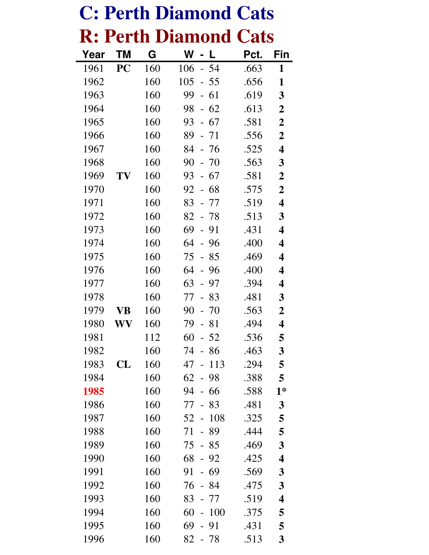|      |           |     | <b>C: Perth Diamond Cats</b>            |      |                         |
|------|-----------|-----|-----------------------------------------|------|-------------------------|
|      |           |     | <b>R: Perth Diamond Cats</b>            |      |                         |
| Year | <b>TM</b> | G   | W                                       | Pct. | Fin                     |
| 1961 | PC        | 160 | -54<br>106<br>$\overline{a}$            | .663 | 1                       |
| 1962 |           | 160 | 105<br>- 55<br>$\overline{\phantom{0}}$ | .656 | 1                       |
| 1963 |           | 160 | 99<br>61<br>$\overline{a}$              | .619 | 3                       |
| 1964 |           | 160 | $-62$<br>98                             | .613 | $\boldsymbol{2}$        |
| 1965 |           | 160 | 93<br>- 67                              | .581 | $\mathbf 2$             |
| 1966 |           | 160 | 89<br>71                                | .556 | $\overline{2}$          |
| 1967 |           | 160 | 84<br>- 76                              | .525 | $\overline{\mathbf{4}}$ |
| 1968 |           | 160 | 90<br>- 70                              | .563 | 3                       |
| 1969 | TV        | 160 | 93<br>67<br>$\overline{a}$              | .581 | $\boldsymbol{2}$        |
| 1970 |           | 160 | 92<br>68<br>$\blacksquare$              | .575 | $\overline{2}$          |
| 1971 |           | 160 | 83<br>77                                | .519 | $\overline{\mathbf{4}}$ |
| 1972 |           | 160 | 82<br>- 78                              | .513 | 3                       |
| 1973 |           | 160 | 69<br>91<br>$\overline{a}$              | .431 | $\overline{\mathbf{4}}$ |
| 1974 |           | 160 | 64<br>96<br>$\overline{a}$              | .400 | 4                       |
| 1975 |           | 160 | 75<br>85<br>$\overline{\phantom{0}}$    | .469 | 4                       |
| 1976 |           | 160 | 64<br>96                                | .400 | 4                       |
| 1977 |           | 160 | 63<br>97<br>$\overline{\phantom{0}}$    | .394 | 4                       |
| 1978 |           | 160 | 77<br>83<br>$\overline{\phantom{0}}$    | .481 | 3                       |
| 1979 | VВ        | 160 | 90<br>- 70                              | .563 | $\overline{2}$          |
| 1980 | WV        | 160 | 79<br>81                                | .494 | 4                       |
| 1981 |           | 112 | 60<br>52                                | .536 | 5                       |
| 1982 |           | 160 | 74<br>86                                | .463 | 3                       |
| 1983 | CL        | 160 | 113<br>47<br>$\overline{a}$             | .294 | 5                       |
| 1984 |           | 160 | 62<br>98<br>$\overline{\phantom{0}}$    | .388 | 5                       |
| 1985 |           | 160 | 94<br>66                                | .588 | $1*$                    |
| 1986 |           | 160 | 77<br>83                                | .481 | 3                       |
| 1987 |           | 160 | 108<br>52<br>$\frac{1}{2}$              | .325 | 5                       |
| 1988 |           | 160 | 71<br>89<br>$\overline{\phantom{0}}$    | .444 | 5                       |
| 1989 |           | 160 | 75<br>- 85                              | .469 | 3                       |
| 1990 |           | 160 | 68<br>92                                | .425 | 4                       |
| 1991 |           | 160 | 91<br>69                                | .569 | 3                       |
| 1992 |           | 160 | 76<br>84<br>$\overline{\phantom{0}}$    | .475 | 3                       |
| 1993 |           | 160 | 83<br>77<br>$\overline{\phantom{0}}$    | .519 | 4                       |
| 1994 |           | 160 | 60<br>100<br>$\overline{a}$             | .375 | 5                       |
| 1995 |           | 160 | 69<br>91                                | .431 | 5                       |
| 1996 |           | 160 | 82<br>$-78$                             | .513 | $\mathbf{3}$            |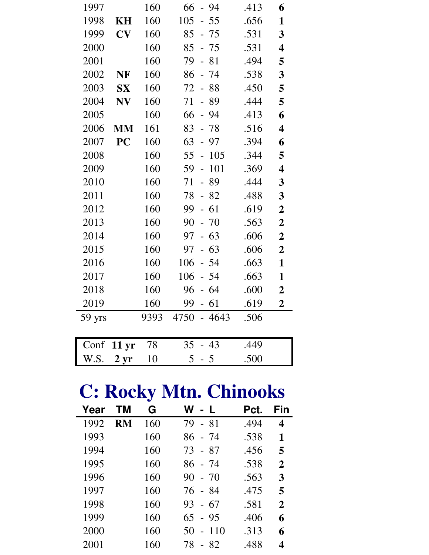| 1997   |                  | 160  | 66<br>- 94                             | .413 | 6                       |
|--------|------------------|------|----------------------------------------|------|-------------------------|
| 1998   | <b>KH</b>        | 160  | 105<br>$-55$                           | .656 | 1                       |
| 1999   | CV               | 160  | 85<br>$-75$                            | .531 | 3                       |
| 2000   |                  | 160  | 85<br>$-75$                            | .531 | 4                       |
| 2001   |                  | 160  | 79<br>81<br>$\mathbb{L}^{\mathbb{N}}$  | .494 | 5                       |
| 2002   | <b>NF</b>        | 160  | 86<br>$-74$                            | .538 | 3                       |
| 2003   | <b>SX</b>        | 160  | 72<br>$-88$                            | .450 | 5                       |
| 2004   | <b>NV</b>        | 160  | 71<br>89<br>$\mathbb{L}^{\mathbb{N}}$  | .444 | 5                       |
| 2005   |                  | 160  | 66<br>$-94$                            | .413 | 6                       |
| 2006   | <b>MM</b>        | 161  | $-78$<br>83                            | .516 | $\overline{\mathbf{4}}$ |
| 2007   | PC               | 160  | 63<br>$-97$                            | .394 | 6                       |
| 2008   |                  | 160  | 105<br>55<br>$\mathbb{L}^{\mathbb{N}}$ | .344 | 5                       |
| 2009   |                  | 160  | 101<br>59<br>$\equiv$                  | .369 | $\overline{\mathbf{4}}$ |
| 2010   |                  | 160  | 71<br>89<br>$\mathbf{L}$               | .444 | $\overline{\mathbf{3}}$ |
| 2011   |                  | 160  | 78<br>$-82$                            | .488 | 3                       |
| 2012   |                  | 160  | 99<br>$-61$                            | .619 | $\overline{\mathbf{2}}$ |
| 2013   |                  | 160  | 90<br>$-70$                            | .563 | $\boldsymbol{2}$        |
| 2014   |                  | 160  | 63<br>97<br>$\mathbb{L}^{\mathbb{N}}$  | .606 | $\boldsymbol{2}$        |
| 2015   |                  | 160  | 63<br>97<br>$\overline{a}$             | .606 | $\boldsymbol{2}$        |
| 2016   |                  | 160  | $-54$<br>106                           | .663 | $\mathbf{1}$            |
| 2017   |                  | 160  | 106<br>$-54$                           | .663 | $\mathbf{1}$            |
| 2018   |                  | 160  | 96<br>64<br>$\equiv$                   | .600 | $\overline{2}$          |
| 2019   |                  | 160  | 61<br>99<br>$\mathbb{L}^{\mathbb{N}}$  | .619 | $\overline{2}$          |
| 59 yrs |                  | 9393 | 4750 - 4643                            | .506 |                         |
|        |                  |      |                                        |      |                         |
| Conf   | 11 <sub>yr</sub> | 78   | 35<br>$-43$                            | .449 |                         |
| W.S.   | 2 <sub>yr</sub>  | 10   | 5<br>$-5$                              | .500 |                         |

# **C: Rocky Mtn. Chinooks**

| Year | TМ        | G   | W<br>- L                    | Pct. | Fin          |
|------|-----------|-----|-----------------------------|------|--------------|
| 1992 | <b>RM</b> | 160 | 79 - 81                     | .494 | 4            |
| 1993 |           | 160 | 86 - 74                     | .538 | 1            |
| 1994 |           | 160 | 73 - 87                     | .456 | 5            |
| 1995 |           | 160 | 86 - 74                     | .538 | $\mathbf{2}$ |
| 1996 |           | 160 | $90 - 70$                   | .563 | 3            |
| 1997 |           | 160 | 76 - 84                     | .475 | 5            |
| 1998 |           | 160 | - 67<br>93                  | .581 | $\mathbf{2}$ |
| 1999 |           | 160 | - 95<br>65                  | .406 | 6            |
| 2000 |           | 160 | 110<br>50<br>$\overline{a}$ | .313 | 6            |
| 2001 |           | 160 | 78<br>- 82                  | .488 | 4            |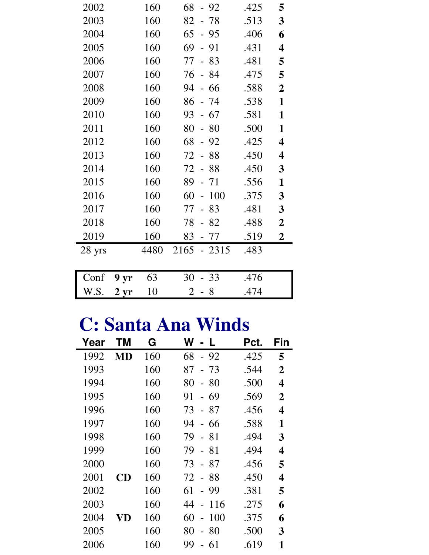| 2002   |                 | 160  | 68<br>$-92$                | .425 | 5                       |
|--------|-----------------|------|----------------------------|------|-------------------------|
| 2003   |                 | 160  | 82<br>78                   | .513 | 3                       |
| 2004   |                 | 160  | 65<br>$-95$                | .406 | 6                       |
| 2005   |                 | 160  | 69<br>91<br>$\overline{a}$ | .431 | 4                       |
| 2006   |                 | 160  | 77<br>83                   | .481 | 5                       |
| 2007   |                 | 160  | 76<br>- 84                 | .475 | 5                       |
| 2008   |                 | 160  | 94<br>66<br>$\blacksquare$ | .588 | $\boldsymbol{2}$        |
| 2009   |                 | 160  | 86<br>- 74                 | .538 | $\mathbf{1}$            |
| 2010   |                 | 160  | 93<br>67                   | .581 | $\mathbf{1}$            |
| 2011   |                 | 160  | 80<br>80<br>$-$            | .500 | $\mathbf{1}$            |
| 2012   |                 | 160  | 68<br>$-92$                | .425 | 4                       |
| 2013   |                 | 160  | 88<br>72                   | .450 | $\overline{\mathbf{4}}$ |
| 2014   |                 | 160  | 72<br>$-88$                | .450 | 3                       |
| 2015   |                 | 160  | 89<br>$-71$                | .556 | $\mathbf{1}$            |
| 2016   |                 | 160  | 60<br>100                  | .375 | 3                       |
| 2017   |                 | 160  | 77<br>83<br>$\overline{a}$ | .481 | $\mathbf{3}$            |
| 2018   |                 | 160  | 78<br>82<br>$\overline{a}$ | .488 | $\boldsymbol{2}$        |
| 2019   |                 | 160  | 83<br>- 77                 | .519 | $\overline{2}$          |
| 28 yrs |                 | 4480 | 2165<br>$-2315$            | .483 |                         |
|        |                 |      |                            |      |                         |
| Conf   | 9 yr            | 63   | $-33$<br>30                | .476 |                         |
| W.S.   | 2 <sub>yr</sub> | 10   | $\overline{2}$<br>- 8      | .474 |                         |

## **C: Santa Ana Winds**

| Year | ΤM | G   | W<br>$\mathbf{L}$                    | Pct. | Fin            |
|------|----|-----|--------------------------------------|------|----------------|
| 1992 | MD | 160 | 68<br>$-92$                          | .425 | 5              |
| 1993 |    | 160 | 87<br>- 73                           | .544 | $\overline{2}$ |
| 1994 |    | 160 | 80<br>- 80                           | .500 | 4              |
| 1995 |    | 160 | 91<br>- 69                           | .569 | $\overline{2}$ |
| 1996 |    | 160 | 73<br>$-87$                          | .456 | 4              |
| 1997 |    | 160 | 94<br>- 66                           | .588 | 1              |
| 1998 |    | 160 | 79<br>- 81                           | .494 | 3              |
| 1999 |    | 160 | 79<br>- 81                           | .494 | 4              |
| 2000 |    | 160 | 87<br>73<br>$\overline{\phantom{0}}$ | .456 | 5              |
| 2001 | CD | 160 | - 88<br>72                           | .450 | 4              |
| 2002 |    | 160 | 61<br>- 99                           | .381 | 5              |
| 2003 |    | 160 | 116<br>44<br>$\equiv$                | .275 | 6              |
| 2004 | VD | 160 | 100<br>60<br>$\equiv$                | .375 | 6              |
| 2005 |    | 160 | 80<br>80<br>$\equiv$                 | .500 | 3              |
| 2006 |    | 160 | 99<br>-61                            | .619 | 1              |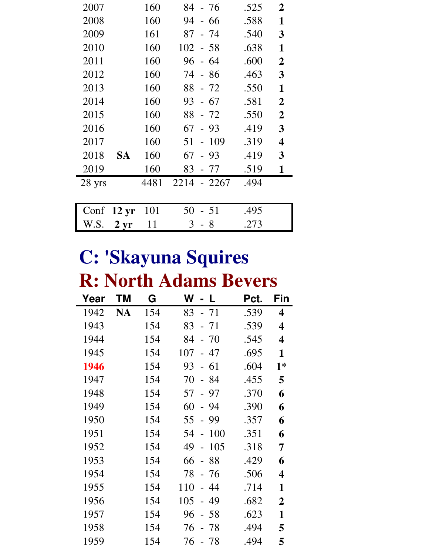| 2007   |                 | 160  | 84<br>- 76     | .525 | $\overline{2}$   |
|--------|-----------------|------|----------------|------|------------------|
| 2008   |                 | 160  | 94<br>- 66     | .588 | 1                |
| 2009   |                 | 161  | 87<br>$-74$    | .540 | 3                |
| 2010   |                 | 160  | $102 - 58$     | .638 | $\mathbf{1}$     |
| 2011   |                 | 160  | 96<br>- 64     | .600 | $\overline{2}$   |
| 2012   |                 | 160  | $-86$<br>74    | .463 | $\mathbf{3}$     |
| 2013   |                 | 160  | 88 - 72        | .550 | $\mathbf{1}$     |
| 2014   |                 | 160  | $-67$<br>93    | .581 | $\overline{2}$   |
| 2015   |                 | 160  | 88<br>$-72$    | .550 | $\boldsymbol{2}$ |
| 2016   |                 | 160  | 67<br>$-93$    | .419 | 3                |
| 2017   |                 | 160  | 51<br>$-109$   | .319 | 4                |
| 2018   | SA              | 160  | 67<br>- 93     | .419 | 3                |
| 2019   |                 | 160  | 83<br>- 77     | .519 | $\mathbf{1}$     |
| 28 yrs |                 | 4481 | 2214<br>- 2267 | .494 |                  |
|        |                 |      |                |      |                  |
| Conf   | $12 \text{ yr}$ | 101  | 50<br>51       | .495 |                  |
| W.S.   | $2 \, yr$       | 11   | 3<br>- 8       | .273 |                  |

# **C: 'Skayuna Squires R: North Adams Bevers**

| Year | ΤM        | G   | W<br>L                      | Pct. | Fin                     |
|------|-----------|-----|-----------------------------|------|-------------------------|
| 1942 | <b>NA</b> | 154 | 83<br>$-71$                 | .539 | 4                       |
| 1943 |           | 154 | 83<br>$-71$                 | .539 | $\overline{\mathbf{4}}$ |
| 1944 |           | 154 | 84<br>$-70$                 | .545 | 4                       |
| 1945 |           | 154 | 107<br>- 47                 | .695 | 1                       |
| 1946 |           | 154 | $-61$<br>93                 | .604 | $1*$                    |
| 1947 |           | 154 | 70<br>- 84                  | .455 | 5                       |
| 1948 |           | 154 | 57<br>$-97$                 | .370 | 6                       |
| 1949 |           | 154 | 60<br>- 94                  | .390 | 6                       |
| 1950 |           | 154 | 55<br>- 99                  | .357 | 6                       |
| 1951 |           | 154 | 100<br>54                   | .351 | 6                       |
| 1952 |           | 154 | 49<br>105<br>$\overline{a}$ | .318 | 7                       |
| 1953 |           | 154 | 66<br>88                    | .429 | 6                       |
| 1954 |           | 154 | 78<br>- 76                  | .506 | $\overline{\mathbf{4}}$ |
| 1955 |           | 154 | 110<br>44<br>$\equiv$       | .714 | 1                       |
| 1956 |           | 154 | 105<br>49                   | .682 | $\overline{2}$          |
| 1957 |           | 154 | 96<br>-58                   | .623 | 1                       |
| 1958 |           | 154 | 76<br>78                    | .494 | 5                       |
| 1959 |           | 154 | 76<br>- 78                  | .494 | 5                       |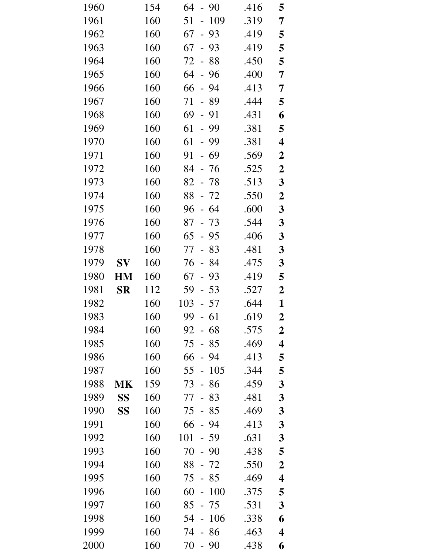| 1960 |             | 154 | 64<br>-90<br>$\overline{\phantom{a}}$ | .416 | 5                       |
|------|-------------|-----|---------------------------------------|------|-------------------------|
| 1961 |             | 160 | 109<br>51<br>$\overline{a}$           | .319 | 7                       |
| 1962 |             | 160 | 67<br>$-93$                           | .419 | 5                       |
| 1963 |             | 160 | 67<br>93<br>$\overline{a}$            | .419 | 5                       |
| 1964 |             | 160 | 72 -<br>88                            | .450 | 5                       |
| 1965 |             | 160 | 64<br>96<br>$\frac{1}{2}$             | .400 | 7                       |
| 1966 |             | 160 | 66<br>$-94$                           | .413 | 7                       |
| 1967 |             | 160 | 71<br>- 89                            | .444 | 5                       |
| 1968 |             | 160 | 69<br>$-91$                           | .431 | 6                       |
| 1969 |             | 160 | 61<br>$-99$                           | .381 | 5                       |
| 1970 |             | 160 | 61<br>99<br>$\equiv$                  | .381 | $\overline{\mathbf{4}}$ |
| 1971 |             | 160 | 91<br>$-69$                           | .569 | $\boldsymbol{2}$        |
| 1972 |             | 160 | 84<br>- 76                            | .525 | $\boldsymbol{2}$        |
| 1973 |             | 160 | 82<br>$-78$                           | .513 | $\mathbf{3}$            |
| 1974 |             | 160 | 88 - 72                               | .550 | $\boldsymbol{2}$        |
| 1975 |             | 160 | 96<br>-64<br>$\overline{\phantom{a}}$ | .600 | $\mathbf{3}$            |
| 1976 |             | 160 | 87<br>$-73$                           | .544 | $\boldsymbol{3}$        |
| 1977 |             | 160 | 65<br>$-95$                           | .406 | $\mathbf{3}$            |
| 1978 |             | 160 | 77<br>83<br>$\frac{1}{2}$             | .481 | $\mathbf{3}$            |
| 1979 | $S_{\bf V}$ | 160 | $-84$<br>76                           | .475 | 3                       |
| 1980 | <b>HM</b>   | 160 | 67<br>93<br>$\frac{1}{2}$             | .419 | 5                       |
| 1981 | <b>SR</b>   | 112 | 59<br>$-53$                           | .527 | $\boldsymbol{2}$        |
| 1982 |             | 160 | $103 - 57$                            | .644 | $\mathbf{1}$            |
| 1983 |             | 160 | 99<br>61                              | .619 | $\boldsymbol{2}$        |
| 1984 |             | 160 | 68<br>92<br>$\frac{1}{2}$             | .575 | $\boldsymbol{2}$        |
| 1985 |             | 160 | 75<br>85                              | .469 | $\overline{\mathbf{4}}$ |
| 1986 |             | 160 | 66<br>94                              | .413 | 5                       |
| 1987 |             | 160 | 55<br>105<br>$\overline{\phantom{0}}$ | .344 | 5                       |
| 1988 | <b>MK</b>   | 159 | 73<br>86                              | .459 | 3                       |
| 1989 | <b>SS</b>   | 160 | 83<br>77                              | .481 | 3                       |
| 1990 | SS          | 160 | 75<br>85                              | .469 | 3                       |
| 1991 |             | 160 | 66<br>94                              | .413 | 3                       |
| 1992 |             | 160 | 101<br>- 59                           | .631 | 3                       |
| 1993 |             | 160 | 70<br>$-90$                           | .438 | 5                       |
| 1994 |             | 160 | 88<br>72                              | .550 | $\boldsymbol{2}$        |
| 1995 |             | 160 | 75<br>85                              | .469 | $\overline{\mathbf{4}}$ |
| 1996 |             | 160 | 60<br>100                             | .375 | 5                       |
| 1997 |             | 160 | 85<br>75                              | .531 | $\mathbf{3}$            |
| 1998 |             | 160 | 106<br>54                             | .338 | 6                       |
| 1999 |             | 160 | 74<br>86                              | .463 | $\overline{\mathbf{4}}$ |
| 2000 |             | 160 | 70<br>90                              | .438 | 6                       |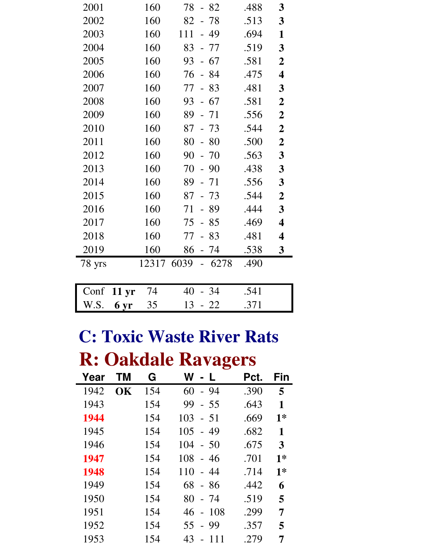| 2001   |                  | 160   | $-82$<br>78                           | .488 | 3                       |
|--------|------------------|-------|---------------------------------------|------|-------------------------|
| 2002   |                  | 160   | 82<br>78                              | .513 | 3                       |
| 2003   |                  | 160   | 111<br>49<br>$\overline{\phantom{a}}$ | .694 | 1                       |
| 2004   |                  | 160   | 83<br>- 77                            | .519 | 3                       |
| 2005   |                  | 160   | 67<br>93<br>$\overline{a}$            | .581 | $\boldsymbol{2}$        |
| 2006   |                  | 160   | $-84$<br>76                           | .475 | $\overline{\mathbf{4}}$ |
| 2007   |                  | 160   | 77<br>83                              | .481 | 3                       |
| 2008   |                  | 160   | $-67$<br>93                           | .581 | $\boldsymbol{2}$        |
| 2009   |                  | 160   | 89<br>$-71$                           | .556 | $\boldsymbol{2}$        |
| 2010   |                  | 160   | 73<br>87                              | .544 | $\boldsymbol{2}$        |
| 2011   |                  | 160   | 80<br>-80<br>$\blacksquare$           | .500 | $\boldsymbol{2}$        |
| 2012   |                  | 160   | 90<br>70                              | .563 | 3                       |
| 2013   |                  | 160   | 70<br>90<br>$\overline{\phantom{0}}$  | .438 | 3                       |
| 2014   |                  | 160   | 89<br>$-71$                           | .556 | 3                       |
| 2015   |                  | 160   | 87<br>73                              | .544 | $\boldsymbol{2}$        |
| 2016   |                  | 160   | 89<br>71                              | .444 | 3                       |
| 2017   |                  | 160   | 75<br>$-85$                           | .469 | $\overline{\mathbf{4}}$ |
| 2018   |                  | 160   | 77<br>83                              | .481 | $\overline{\mathbf{4}}$ |
| 2019   |                  | 160   | 86<br>- 74                            | .538 | $\mathbf{3}$            |
| 78 yrs |                  | 12317 | 6039<br>6278                          | .490 |                         |
|        |                  |       |                                       |      |                         |
| Conf   | 11 <sub>yr</sub> | 74    | - 34<br>40                            | .541 |                         |
| W.S.   | 6 yr             | 35    | 13<br>- 22                            | .371 |                         |

### **C: Toxic Waste River Rats R: Oakdale Ravagers**

| Year | ΤM | G   | W<br>- L                              | Pct. | Fin  |
|------|----|-----|---------------------------------------|------|------|
| 1942 | OK | 154 | $-94$<br>60                           | .390 | 5    |
| 1943 |    | 154 | 99<br>$-55$                           | .643 | 1    |
| 1944 |    | 154 | 103<br>$-51$                          | .669 | $1*$ |
| 1945 |    | 154 | 105<br>49<br>$\equiv$                 | .682 | 1    |
| 1946 |    | 154 | 104<br>$-50$                          | .675 | 3    |
| 1947 |    | 154 | 108<br>$-46$                          | .701 | $1*$ |
| 1948 |    | 154 | 110<br>$-44$                          | .714 | $1*$ |
| 1949 |    | 154 | 68<br>- 86                            | .442 | 6    |
| 1950 |    | 154 | 80<br>- 74                            | .519 | 5    |
| 1951 |    | 154 | 108<br>46<br>$\overline{\phantom{a}}$ | .299 | 7    |
| 1952 |    | 154 | $-99$<br>55                           | .357 | 5    |
| 1953 |    | 154 | 43<br>111<br>$\overline{a}$           | .279 | 7    |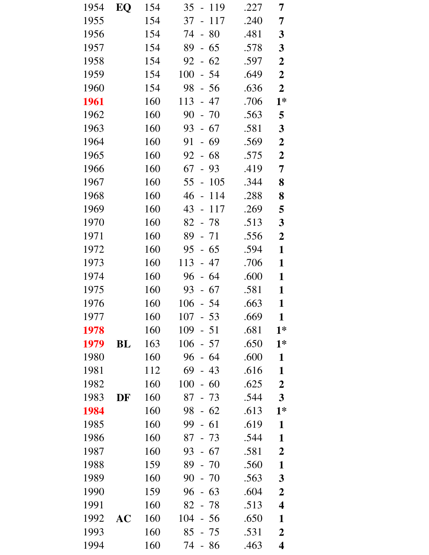| 1954 | EQ        | 154 | 35<br>$-119$                          | .227 | 7                       |
|------|-----------|-----|---------------------------------------|------|-------------------------|
| 1955 |           | 154 | 117<br>37<br>$\overline{a}$           | .240 | 7                       |
| 1956 |           | 154 | 80<br>74<br>$\overline{\phantom{a}}$  | .481 | $\mathbf{3}$            |
| 1957 |           | 154 | 89<br>65<br>$\overline{\phantom{0}}$  | .578 | $\mathbf{3}$            |
| 1958 |           | 154 | $-62$<br>92                           | .597 | $\boldsymbol{2}$        |
| 1959 |           | 154 | 100<br>54<br>$\overline{\phantom{0}}$ | .649 | $\boldsymbol{2}$        |
| 1960 |           | 154 | 98<br>$-56$                           | .636 | $\boldsymbol{2}$        |
| 1961 |           | 160 | 113<br>- 47                           | .706 | $1*$                    |
| 1962 |           | 160 | 90<br>$-70$                           | .563 | 5                       |
| 1963 |           | 160 | 93<br>$-67$                           | .581 | $\mathbf{3}$            |
| 1964 |           | 160 | 91<br>69<br>$\blacksquare$            | .569 | $\boldsymbol{2}$        |
| 1965 |           | 160 | $-68$<br>92                           | .575 | $\boldsymbol{2}$        |
| 1966 |           | 160 | 67<br>$-93$                           | .419 | 7                       |
| 1967 |           | 160 | 55<br>105<br>$\blacksquare$           | .344 | 8                       |
| 1968 |           | 160 | 46<br>114<br>$\equiv$                 | .288 | 8                       |
| 1969 |           | 160 | 43<br>117<br>$\blacksquare$           | .269 | 5                       |
| 1970 |           | 160 | 82<br>$-78$                           | .513 | 3                       |
| 1971 |           | 160 | 89<br>$-71$                           | .556 | $\boldsymbol{2}$        |
| 1972 |           | 160 | 95<br>$-65$                           | .594 | $\mathbf{1}$            |
| 1973 |           | 160 | 113<br>- 47                           | .706 | $\mathbf{1}$            |
| 1974 |           | 160 | 96<br>$-64$                           | .600 | $\mathbf{1}$            |
| 1975 |           | 160 | 93<br>$-67$                           | .581 | $\mathbf{1}$            |
| 1976 |           | 160 | 106<br>$-54$                          | .663 | $\mathbf{1}$            |
| 1977 |           | 160 | 107<br>53                             | .669 | 1                       |
| 1978 |           | 160 | 109<br>$-51$                          | .681 | $1*$                    |
| 1979 | BL        | 163 | 106<br>$-57$                          | .650 | $1*$                    |
| 1980 |           | 160 | 96<br>$-64$                           | .600 | $\mathbf{1}$            |
| 1981 |           | 112 | 69<br>43<br>$\overline{a}$            | .616 | $\mathbf{1}$            |
| 1982 |           | 160 | 100<br>$-60$                          | .625 | $\boldsymbol{2}$        |
| 1983 | DF        | 160 | 87<br>$-73$                           | .544 | $\overline{\mathbf{3}}$ |
| 1984 |           | 160 | 98<br>$-62$                           | .613 | $1*$                    |
| 1985 |           | 160 | 99<br>$-61$                           | .619 | $\mathbf{1}$            |
| 1986 |           | 160 | 87<br>$-73$                           | .544 | $\mathbf{1}$            |
| 1987 |           | 160 | $-67$<br>93                           | .581 | $\overline{2}$          |
| 1988 |           | 159 | 89<br>$-70$                           | .560 | $\mathbf{1}$            |
| 1989 |           | 160 | 90<br>$-70$                           | .563 | 3                       |
| 1990 |           | 159 | 96<br>$-63$                           | .604 | $\boldsymbol{2}$        |
| 1991 |           | 160 | 82<br>$-78$                           | .513 | 4                       |
| 1992 | <b>AC</b> | 160 | 104<br>$-56$                          | .650 | 1                       |
| 1993 |           | 160 | 85<br>- 75                            | .531 | $\boldsymbol{2}$        |
| 1994 |           | 160 | 74<br>86<br>$\overline{\phantom{0}}$  | .463 | 4                       |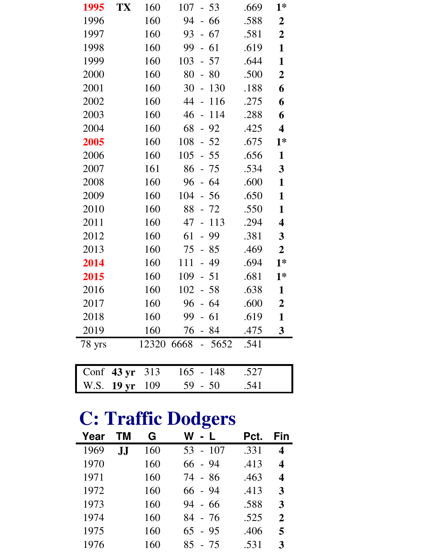| 1995   | TX                   | 160 | $107 - 53$          | .669 | $1*$                    |
|--------|----------------------|-----|---------------------|------|-------------------------|
| 1996   |                      | 160 | 94<br>$-66$         | .588 | $\boldsymbol{2}$        |
| 1997   |                      | 160 | $93 - 67$           | .581 | $\boldsymbol{2}$        |
| 1998   |                      | 160 | 99<br>$-61$         | .619 | $\mathbf{1}$            |
| 1999   |                      | 160 | $103 - 57$          | .644 | $\mathbf{1}$            |
| 2000   |                      | 160 | 80<br>$-80$         | .500 | $\boldsymbol{2}$        |
| 2001   |                      | 160 | 30<br>130<br>$\sim$ | .188 | 6                       |
| 2002   |                      | 160 | 44 -<br>116         | .275 | 6                       |
| 2003   |                      | 160 | 46<br>114<br>$\sim$ | .288 | 6                       |
| 2004   |                      | 160 | 68<br>$-92$         | .425 | $\overline{\mathbf{4}}$ |
| 2005   |                      | 160 | 108<br>$-52$        | .675 | $1*$                    |
| 2006   |                      | 160 | $105 - 55$          | .656 | $\mathbf{1}$            |
| 2007   |                      | 161 | 86<br>- 75          | .534 | $\overline{\mathbf{3}}$ |
| 2008   |                      | 160 | - 64<br>96          | .600 | $\mathbf{1}$            |
| 2009   |                      | 160 | 104<br>$-56$        | .650 | $\mathbf{1}$            |
| 2010   |                      | 160 | 88<br>- 72          | .550 | $\mathbf{1}$            |
| 2011   |                      | 160 | 47<br>$-113$        | .294 | $\overline{\mathbf{4}}$ |
| 2012   |                      | 160 | $-99$<br>61         | .381 | $\mathbf{3}$            |
| 2013   |                      | 160 | $-85$<br>75         | .469 | $\boldsymbol{2}$        |
| 2014   |                      | 160 | 111<br>$-49$        | .694 | $1*$                    |
| 2015   |                      | 160 | 109<br>$-51$        | .681 | $1*$                    |
| 2016   |                      | 160 | 102<br>$-58$        | .638 | $\mathbf{1}$            |
| 2017   |                      | 160 | $96 - 64$           | .600 | $\boldsymbol{2}$        |
| 2018   |                      | 160 | $99 - 61$           | .619 | $\mathbf{1}$            |
| 2019   |                      | 160 | 76 - 84             | .475 | $\mathbf{3}$            |
| 78 yrs |                      |     | 12320 6668<br>5652  | .541 |                         |
|        |                      |     |                     |      |                         |
|        | Conf $43 \text{ yr}$ | 313 | 165<br>$-148$       | .527 |                         |
| W.S.   | 19 <sub>yr</sub>     | 109 | 59<br>$-50$         | .541 |                         |

## **C: Traffic Dodgers**

| Year | ТМ                    | G   | W - L        | Pct. | Fin              |
|------|-----------------------|-----|--------------|------|------------------|
| 1969 | ${\bf J}$ . ${\bf J}$ | 160 | $-107$<br>53 | .331 | $\boldsymbol{4}$ |
| 1970 |                       | 160 | 66 - 94      | .413 | $\boldsymbol{4}$ |
| 1971 |                       | 160 | 74 - 86      | .463 | $\boldsymbol{4}$ |
| 1972 |                       | 160 | 66 - 94      | .413 | 3                |
| 1973 |                       | 160 | 94 - 66      | .588 | 3                |
| 1974 |                       | 160 | 84 - 76      | .525 | $\mathbf{2}$     |
| 1975 |                       | 160 | $65 - 95$    | .406 | 5                |
| 1976 |                       | 160 | 85 - 75      | .531 | 3                |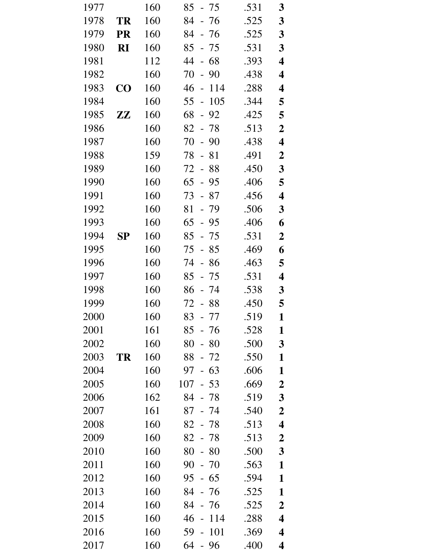| 1977 |                        | 160 | 85<br>- 75                            | .531 | 3                       |
|------|------------------------|-----|---------------------------------------|------|-------------------------|
| 1978 | <b>TR</b>              | 160 | 84<br>$-76$                           | .525 | 3                       |
| 1979 | <b>PR</b>              | 160 | 84<br>- 76                            | .525 | $\mathbf{3}$            |
| 1980 | RI                     | 160 | 85<br>$-75$                           | .531 | $\mathbf{3}$            |
| 1981 |                        | 112 | 44<br>- 68                            | .393 | $\overline{\mathbf{4}}$ |
| 1982 |                        | 160 | 70<br>90<br>$\frac{1}{2}$             | .438 | $\overline{\mathbf{4}}$ |
| 1983 | $\bf CO$               | 160 | 46<br>114<br>$\frac{1}{2}$            | .288 | 4                       |
| 1984 |                        | 160 | 105<br>55<br>$\overline{\phantom{0}}$ | .344 | 5                       |
| 1985 | $\mathbf{Z}\mathbf{Z}$ | 160 | 68<br>92<br>$\overline{\phantom{0}}$  | .425 | 5                       |
| 1986 |                        | 160 | $82 - 78$                             | .513 | $\boldsymbol{2}$        |
| 1987 |                        | 160 | 70<br>90<br>$\overline{\phantom{0}}$  | .438 | $\overline{\mathbf{4}}$ |
| 1988 |                        | 159 | 81<br>78<br>$\frac{1}{2}$             | .491 | $\boldsymbol{2}$        |
| 1989 |                        | 160 | 72<br>$-88$                           | .450 | $\mathbf{3}$            |
| 1990 |                        | 160 | 65<br>$-95$                           | .406 | 5                       |
| 1991 |                        | 160 | 73<br>$-87$                           | .456 | $\overline{\mathbf{4}}$ |
| 1992 |                        | 160 | 81<br>$-79$                           | .506 | 3                       |
| 1993 |                        | 160 | 65<br>$-95$                           | .406 | 6                       |
| 1994 | <b>SP</b>              | 160 | 85<br>$-75$                           | .531 | $\boldsymbol{2}$        |
| 1995 |                        | 160 | 75<br>$-85$                           | .469 | 6                       |
| 1996 |                        | 160 | 74<br>- 86                            | .463 | 5                       |
| 1997 |                        | 160 | 85<br>75<br>$\equiv$                  | .531 | $\overline{\mathbf{4}}$ |
| 1998 |                        | 160 | 86<br>- 74                            | .538 | 3                       |
| 1999 |                        | 160 | 72 - 88                               | .450 | 5                       |
| 2000 |                        | 160 | 83<br>77                              | .519 | 1                       |
| 2001 |                        | 161 | 85<br>- 76                            | .528 | 1                       |
| 2002 |                        | 160 | 80<br>80<br>$\overline{\phantom{0}}$  | .500 | 3                       |
| 2003 | TR                     | 160 | 88<br>$-72$                           | .550 | $\mathbf{1}$            |
| 2004 |                        | 160 | $-63$<br>97                           | .606 | $\mathbf{1}$            |
| 2005 |                        | 160 | 107<br>$-53$                          | .669 | $\boldsymbol{2}$        |
| 2006 |                        | 162 | 84<br>$-78$                           | .519 | $\mathbf{3}$            |
| 2007 |                        | 161 | 87<br>- 74                            | .540 | $\boldsymbol{2}$        |
| 2008 |                        | 160 | 82<br>- 78                            | .513 | $\overline{\mathbf{4}}$ |
| 2009 |                        | 160 | 82<br>- 78                            | .513 | $\boldsymbol{2}$        |
| 2010 |                        | 160 | 80<br>$-80$                           | .500 | $\mathbf{3}$            |
| 2011 |                        | 160 | 90<br>$-70$                           | .563 | $\mathbf{1}$            |
| 2012 |                        | 160 | 95<br>$-65$                           | .594 | $\mathbf{1}$            |
| 2013 |                        | 160 | 84<br>$-76$                           | .525 | 1                       |
| 2014 |                        | 160 | 84<br>- 76                            | .525 | $\boldsymbol{2}$        |
| 2015 |                        | 160 | 46<br>114<br>$\overline{a}$           | .288 | $\overline{\mathbf{4}}$ |
| 2016 |                        | 160 | 59<br>101                             | .369 | 4                       |
| 2017 |                        | 160 | 64<br>96                              | .400 | $\overline{\mathbf{4}}$ |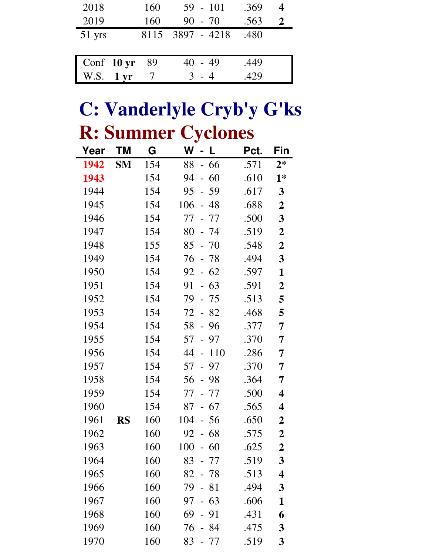| 2018                           | 160  | $59 - 101$       | .369 |  |
|--------------------------------|------|------------------|------|--|
| 2019                           | 160  | $90 - 70$        | .563 |  |
| 51 yrs                         |      | 8115 3897 - 4218 | .480 |  |
|                                |      |                  |      |  |
| Conf 10 yr                     | - 89 | $40 - 49$        | .449 |  |
| 1 <sub>yr</sub><br><b>W.S.</b> |      | - 4              | 429  |  |

### **C: Vanderlyle Cryb'y G'ks R: Summer Cyclones**

| Year | ΤM        | G   | W<br>L<br>$\blacksquare$              | Pct. | Fin                     |
|------|-----------|-----|---------------------------------------|------|-------------------------|
| 1942 | <b>SM</b> | 154 | 88<br>- 66                            | .571 | $2*$                    |
| 1943 |           | 154 | $-60$<br>94                           | .610 | $1*$                    |
| 1944 |           | 154 | 95<br>59<br>$\equiv$                  | .617 | $\mathbf{3}$            |
| 1945 |           | 154 | 106<br>48<br>$\equiv$                 | .688 | $\boldsymbol{2}$        |
| 1946 |           | 154 | 77<br>- 77                            | .500 | $\mathbf{3}$            |
| 1947 |           | 154 | 80<br>- 74                            | .519 | $\boldsymbol{2}$        |
| 1948 |           | 155 | 85<br>$-70$                           | .548 | $\boldsymbol{2}$        |
| 1949 |           | 154 | 76<br>- 78                            | .494 | 3                       |
| 1950 |           | 154 | $-62$<br>92                           | .597 | 1                       |
| 1951 |           | 154 | 63<br>91<br>$\overline{\phantom{0}}$  | .591 | $\boldsymbol{2}$        |
| 1952 |           | 154 | 79<br>- 75                            | .513 | 5                       |
| 1953 |           | 154 | 72<br>$-82$                           | .468 | 5                       |
| 1954 |           | 154 | 96<br>58<br>$\overline{a}$            | .377 | 7                       |
| 1955 |           | 154 | 57<br>$-97$                           | .370 | 7                       |
| 1956 |           | 154 | 44<br>110<br>$\overline{a}$           | .286 | 7                       |
| 1957 |           | 154 | 57<br>97<br>$\overline{a}$            | .370 | 7                       |
| 1958 |           | 154 | 56<br>- 98                            | .364 | 7                       |
| 1959 |           | 154 | 77<br>- 77                            | .500 | 4                       |
| 1960 |           | 154 | 67<br>87<br>$\mathbb{L}^{\mathbb{R}}$ | .565 | 4                       |
| 1961 | <b>RS</b> | 160 | 104<br>56<br>$\overline{\phantom{0}}$ | .650 | $\boldsymbol{2}$        |
| 1962 |           | 160 | 92<br>68<br>$\overline{\phantom{0}}$  | .575 | $\boldsymbol{2}$        |
| 1963 |           | 160 | 100<br>$-60$                          | .625 | $\boldsymbol{2}$        |
| 1964 |           | 160 | 83<br>77                              | .519 | $\overline{\mathbf{3}}$ |
| 1965 |           | 160 | 82<br>- 78                            | .513 | 4                       |
| 1966 |           | 160 | 79<br>- 81                            | .494 | 3                       |
| 1967 |           | 160 | 97<br>63                              | .606 | 1                       |
| 1968 |           | 160 | 69<br>91<br>$\overline{a}$            | .431 | 6                       |
| 1969 |           | 160 | 76<br>- 84                            | .475 | 3                       |
| 1970 |           | 160 | 83<br>77                              | .519 | 3                       |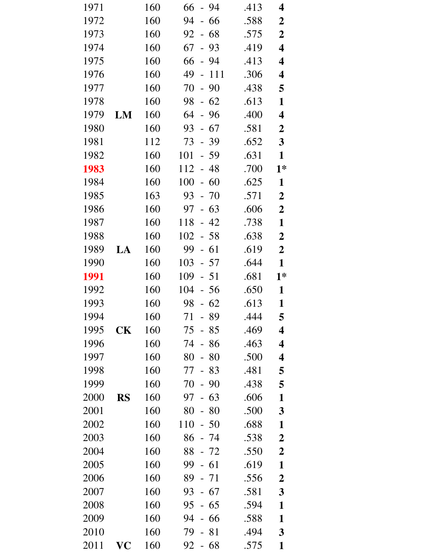| 1971 |           | 160 | 66<br>- 94                           | .413 | 4                       |
|------|-----------|-----|--------------------------------------|------|-------------------------|
| 1972 |           | 160 | 66<br>94<br>$\overline{\phantom{a}}$ | .588 | $\boldsymbol{2}$        |
| 1973 |           | 160 | $92 - 68$                            | .575 | $\boldsymbol{2}$        |
| 1974 |           | 160 | $-93$<br>67                          | .419 | 4                       |
| 1975 |           | 160 | $-94$<br>66                          | .413 | $\overline{\mathbf{4}}$ |
| 1976 |           | 160 | 49<br>111<br>$\mathbb{L}$            | .306 | 4                       |
| 1977 |           | 160 | $-90$<br>70                          | .438 | 5                       |
| 1978 |           | 160 | $-62$<br>98                          | .613 | $\mathbf{1}$            |
| 1979 | LM        | 160 | 64<br>- 96                           | .400 | 4                       |
| 1980 |           | 160 | 93<br>$-67$                          | .581 | $\boldsymbol{2}$        |
| 1981 |           | 112 | 73<br>$-39$                          | .652 | $\overline{\mathbf{3}}$ |
| 1982 |           | 160 | 101<br>$-59$                         | .631 | $\mathbf{1}$            |
| 1983 |           | 160 | 112<br>- 48                          | .700 | $1*$                    |
| 1984 |           | 160 | 100<br>$-60$                         | .625 | $\mathbf{1}$            |
| 1985 |           | 163 | 93<br>$-70$                          | .571 | $\boldsymbol{2}$        |
| 1986 |           | 160 | 97<br>$-63$                          | .606 | $\boldsymbol{2}$        |
| 1987 |           | 160 | 118<br>$-42$                         | .738 | $\mathbf{1}$            |
| 1988 |           | 160 | 102<br>$-58$                         | .638 | $\boldsymbol{2}$        |
| 1989 | LA        | 160 | 99<br>$-61$                          | .619 | $\boldsymbol{2}$        |
| 1990 |           | 160 | 103<br>$-57$                         | .644 | $\mathbf{1}$            |
| 1991 |           | 160 | 109<br>$-51$                         | .681 | $1*$                    |
| 1992 |           | 160 | 104<br>$-56$                         | .650 | $\mathbf{1}$            |
| 1993 |           | 160 | $-62$<br>98                          | .613 | $\mathbf{1}$            |
| 1994 |           | 160 | 89<br>71                             | .444 | 5                       |
| 1995 | CK        | 160 | 75<br>$-85$                          | .469 | 4                       |
| 1996 |           | 160 | 74<br>86<br>$\equiv$                 | .463 | $\overline{\mathbf{4}}$ |
| 1997 |           | 160 | 80<br>80<br>$\equiv$                 | .500 | 4                       |
| 1998 |           | 160 | 83<br>77<br>$\overline{\phantom{0}}$ | .481 | 5                       |
| 1999 |           | 160 | 70<br>$-90$                          | .438 | 5                       |
| 2000 | <b>RS</b> | 160 | 97<br>63                             | .606 | $\mathbf{1}$            |
| 2001 |           | 160 | 80<br>80<br>$\overline{\phantom{0}}$ | .500 | 3                       |
| 2002 |           | 160 | 110<br>$-50$                         | .688 | $\mathbf{1}$            |
| 2003 |           | 160 | 86<br>- 74                           | .538 | $\boldsymbol{2}$        |
| 2004 |           | 160 | 88<br>$-72$                          | .550 | $\boldsymbol{2}$        |
| 2005 |           | 160 | 99<br>$-61$                          | .619 | $\mathbf{1}$            |
| 2006 |           | 160 | 89<br>$-71$                          | .556 | $\boldsymbol{2}$        |
| 2007 |           | 160 | 93<br>$-67$                          | .581 | 3                       |
| 2008 |           | 160 | 95<br>$-65$                          | .594 | $\mathbf{1}$            |
| 2009 |           | 160 | 94<br>- 66                           | .588 | 1                       |
| 2010 |           | 160 | 79<br>81                             | .494 | $\mathbf{3}$            |
| 2011 | VC        | 160 | $-68$<br>92                          | .575 | 1                       |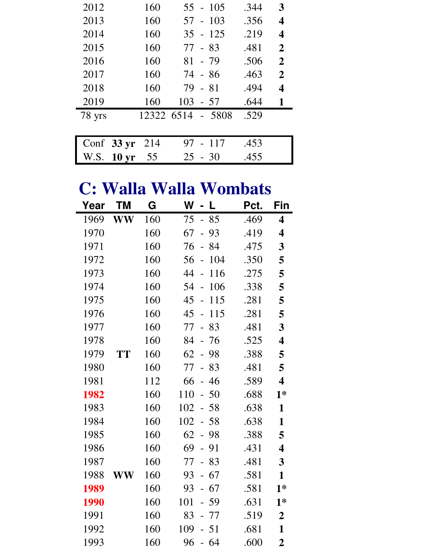| 2012                     | 160        | $55 - 105$  | .344 | 3              |
|--------------------------|------------|-------------|------|----------------|
| 2013                     | 160        | $57 - 103$  | .356 | 4              |
| 2014                     | 160        | $35 - 125$  | .219 | 4              |
| 2015                     | 160        | 77 - 83     | .481 | $\overline{2}$ |
| 2016                     | 160        | $81 - 79$   | .506 | $\overline{2}$ |
| 2017                     | 160        | 74 - 86     | .463 | $\overline{2}$ |
| 2018                     | 160        | $79 - 81$   | .494 | 4              |
| 2019                     | 160        | 103<br>- 57 | .644 | 1              |
| 78 yrs                   | 12322 6514 | - 5808      | .529 |                |
|                          |            |             |      |                |
| Conf $33 \text{ yr}$     | 214        | 117<br>97   | .453 |                |
| 10 <sub>yr</sub><br>W.S. | 55         | $-30$<br>25 | .455 |                |

#### **C: Walla Walla Wombats**

| Year | ΤM            | G   | W<br>- L                             | Pct. | Fin                     |
|------|---------------|-----|--------------------------------------|------|-------------------------|
| 1969 | <b>WW</b>     | 160 | 75<br>85<br>$\equiv$                 | .469 | $\overline{\mathbf{4}}$ |
| 1970 |               | 160 | 67<br>93                             | .419 | $\overline{\mathbf{4}}$ |
| 1971 |               | 160 | 84<br>76                             | .475 | 3                       |
| 1972 |               | 160 | 56<br>104<br>$\frac{1}{2}$           | .350 | 5                       |
| 1973 |               | 160 | 44<br>116<br>$\overline{a}$          | .275 | 5                       |
| 1974 |               | 160 | 106<br>54                            | .338 | 5                       |
| 1975 |               | 160 | 45<br>115<br>$\frac{1}{2}$           | .281 | 5                       |
| 1976 |               | 160 | 115<br>45<br>$\overline{a}$          | .281 | 5                       |
| 1977 |               | 160 | 77<br>83<br>$\overline{\phantom{a}}$ | .481 | 3                       |
| 1978 |               | 160 | 84<br>76<br>$\frac{1}{2}$            | .525 | $\overline{\mathbf{4}}$ |
| 1979 | <b>TT</b>     | 160 | 62<br>98<br>$\overline{a}$           | .388 | 5                       |
| 1980 |               | 160 | 77<br>83<br>$\overline{a}$           | .481 | 5                       |
| 1981 |               | 112 | 66<br>46<br>$\overline{a}$           | .589 | $\overline{\mathbf{4}}$ |
| 1982 |               | 160 | 110<br>50<br>$\overline{a}$          | .688 | $1*$                    |
| 1983 |               | 160 | 102<br>58                            | .638 | $\mathbf{1}$            |
| 1984 |               | 160 | 102<br>$-58$                         | .638 | $\mathbf{1}$            |
| 1985 |               | 160 | 62<br>$-98$                          | .388 | 5                       |
| 1986 |               | 160 | 69<br>$-91$                          | .431 | 4                       |
| 1987 |               | 160 | 77<br>83<br>$\frac{1}{2}$            | .481 | 3                       |
| 1988 | $\mathbf{WW}$ | 160 | 67<br>93                             | .581 | $\mathbf{1}$            |
| 1989 |               | 160 | 93<br>67<br>$\overline{a}$           | .581 | $1*$                    |
| 1990 |               | 160 | 101<br>59                            | .631 | $1*$                    |
| 1991 |               | 160 | 83<br>- 77                           | .519 | $\overline{2}$          |
| 1992 |               | 160 | 109<br>51<br>$\overline{a}$          | .681 | $\mathbf{1}$            |
| 1993 |               | 160 | 96<br>$-64$                          | .600 | $\overline{2}$          |